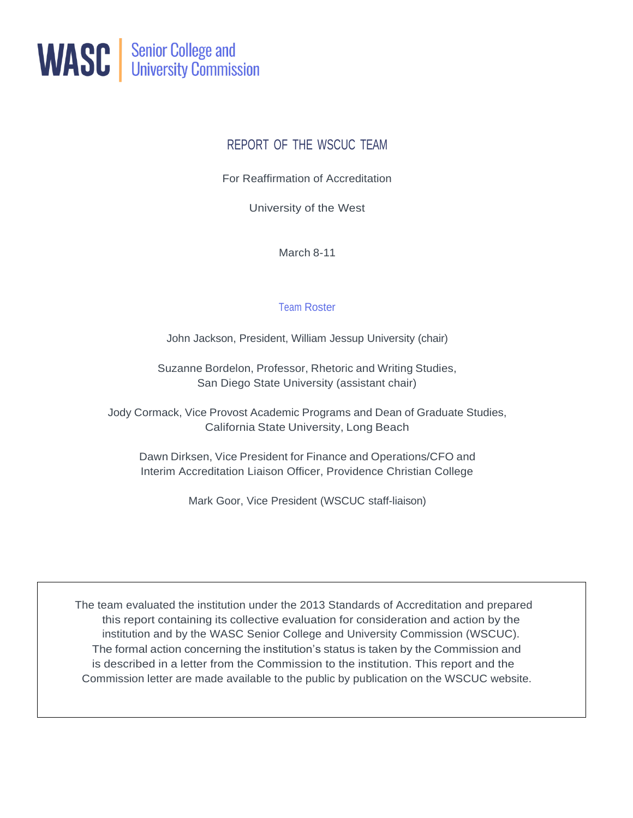

# REPORT OF THE WSCUC TEAM

For Reaffirmation of Accreditation

University of the West

March 8-11

## Team Roster

John Jackson, President, William Jessup University (chair)

Suzanne Bordelon, Professor, Rhetoric and Writing Studies, San Diego State University (assistant chair)

Jody Cormack, Vice Provost Academic Programs and Dean of Graduate Studies, California State University, Long Beach

Dawn Dirksen, Vice President for Finance and Operations/CFO and Interim Accreditation Liaison Officer, Providence Christian College

Mark Goor, Vice President (WSCUC staff-liaison)

The team evaluated the institution under the 2013 Standards of Accreditation and prepared this report containing its collective evaluation for consideration and action by the institution and by the WASC Senior College and University Commission (WSCUC). The formal action concerning the institution's status is taken by the Commission and is described in a letter from the Commission to the institution. This report and the Commission letter are made available to the public by publication on the WSCUC website.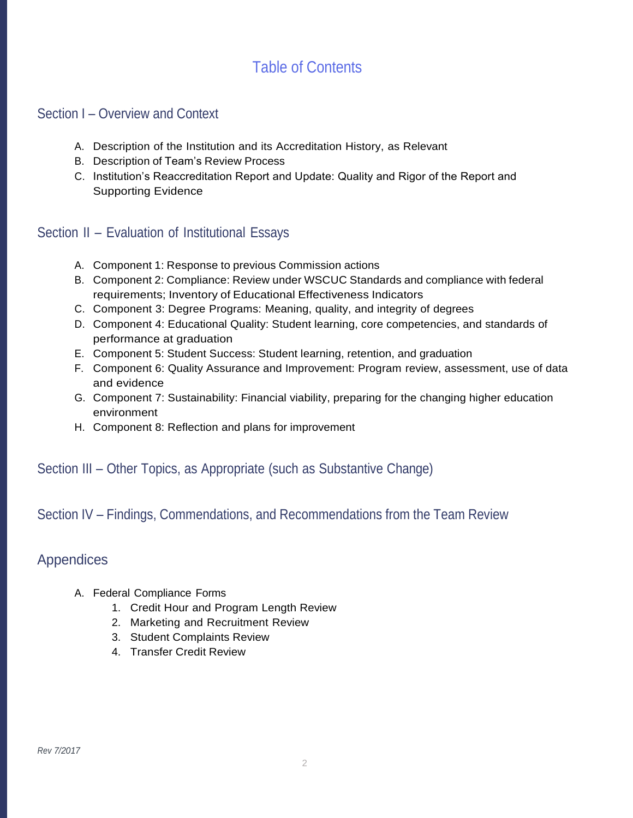# Table of Contents

# Section I – Overview and Context

- A. Description of the Institution and its Accreditation History, as Relevant
- B. Description of Team's Review Process
- C. Institution's Reaccreditation Report and Update: Quality and Rigor of the Report and Supporting Evidence

# Section II – Evaluation of Institutional Essays

- A. Component 1: Response to previous Commission actions
- B. Component 2: Compliance: Review under WSCUC Standards and compliance with federal requirements; Inventory of Educational Effectiveness Indicators
- C. Component 3: Degree Programs: Meaning, quality, and integrity of degrees
- D. Component 4: Educational Quality: Student learning, core competencies, and standards of performance at graduation
- E. Component 5: Student Success: Student learning, retention, and graduation
- F. Component 6: Quality Assurance and Improvement: Program review, assessment, use of data and evidence
- G. Component 7: Sustainability: Financial viability, preparing for the changing higher education environment
- H. Component 8: Reflection and plans for improvement

# Section III – Other Topics, as Appropriate (such as Substantive Change)

# Section IV – Findings, Commendations, and Recommendations from the Team Review

# Appendices

- A. Federal Compliance Forms
	- 1. Credit Hour and Program Length Review
	- 2. Marketing and Recruitment Review
	- 3. Student Complaints Review
	- 4. Transfer Credit Review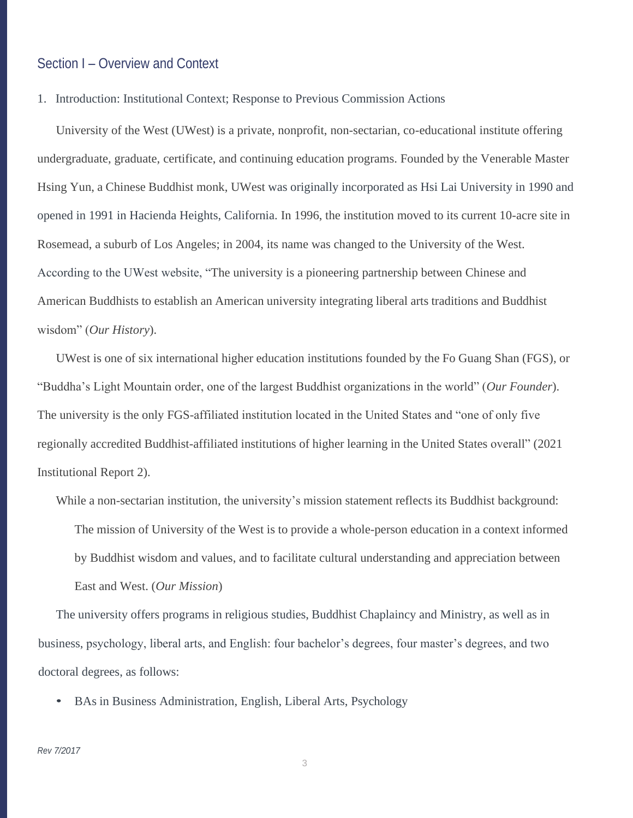# Section I – Overview and Context

1. Introduction: Institutional Context; Response to Previous Commission Actions

University of the West (UWest) is a private, nonprofit, non-sectarian, co-educational institute offering undergraduate, graduate, certificate, and continuing education programs. Founded by the Venerable Master Hsing Yun, a Chinese Buddhist monk, UWest was originally incorporated as Hsi Lai University in 1990 and opened in 1991 in Hacienda Heights, California. In 1996, the institution moved to its current 10-acre site in Rosemead, a suburb of Los Angeles; in 2004, its name was changed to the University of the West. According to the UWest website, "The university is a pioneering partnership between Chinese and American Buddhists to establish an American university integrating liberal arts traditions and Buddhist wisdom" (*Our History*).

UWest is one of six international higher education institutions founded by the Fo Guang Shan (FGS), or "Buddha's Light Mountain order, one of the largest Buddhist organizations in the world" (*Our Founder*). The university is the only FGS-affiliated institution located in the United States and "one of only five regionally accredited Buddhist-affiliated institutions of higher learning in the United States overall" (2021 Institutional Report 2).

While a non-sectarian institution, the university's mission statement reflects its Buddhist background: The mission of University of the West is to provide a whole-person education in a context informed by Buddhist wisdom and values, and to facilitate cultural understanding and appreciation between East and West. (*Our Mission*)

The university offers programs in religious studies, Buddhist Chaplaincy and Ministry, as well as in business, psychology, liberal arts, and English: four bachelor's degrees, four master's degrees, and two doctoral degrees, as follows:

• BAs in Business Administration, English, Liberal Arts, Psychology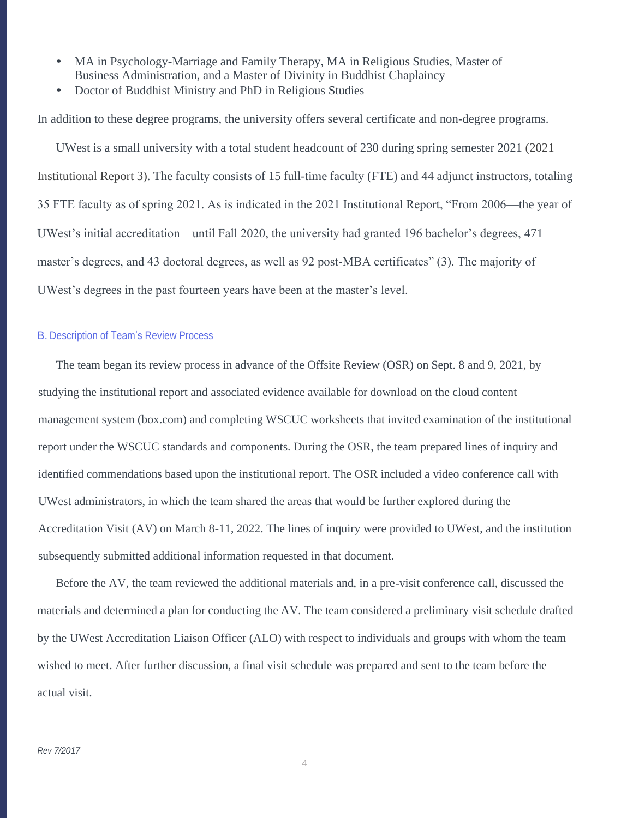- MA in Psychology-Marriage and Family Therapy, MA in Religious Studies, Master of Business Administration, and a Master of Divinity in Buddhist Chaplaincy
- Doctor of Buddhist Ministry and PhD in Religious Studies

In addition to these degree programs, the university offers several certificate and non-degree programs.

UWest is a small university with a total student headcount of 230 during spring semester 2021 (2021 Institutional Report 3). The faculty consists of 15 full-time faculty (FTE) and 44 adjunct instructors, totaling 35 FTE faculty as of spring 2021. As is indicated in the 2021 Institutional Report, "From 2006—the year of UWest's initial accreditation—until Fall 2020, the university had granted 196 bachelor's degrees, 471 master's degrees, and 43 doctoral degrees, as well as 92 post-MBA certificates" (3). The majority of UWest's degrees in the past fourteen years have been at the master's level.

#### B. Description of Team's Review Process

The team began its review process in advance of the Offsite Review (OSR) on Sept. 8 and 9, 2021, by studying the institutional report and associated evidence available for download on the cloud content management system (box.com) and completing WSCUC worksheets that invited examination of the institutional report under the WSCUC standards and components. During the OSR, the team prepared lines of inquiry and identified commendations based upon the institutional report. The OSR included a video conference call with UWest administrators, in which the team shared the areas that would be further explored during the Accreditation Visit (AV) on March 8-11, 2022. The lines of inquiry were provided to UWest, and the institution subsequently submitted additional information requested in that document.

Before the AV, the team reviewed the additional materials and, in a pre-visit conference call, discussed the materials and determined a plan for conducting the AV. The team considered a preliminary visit schedule drafted by the UWest Accreditation Liaison Officer (ALO) with respect to individuals and groups with whom the team wished to meet. After further discussion, a final visit schedule was prepared and sent to the team before the actual visit.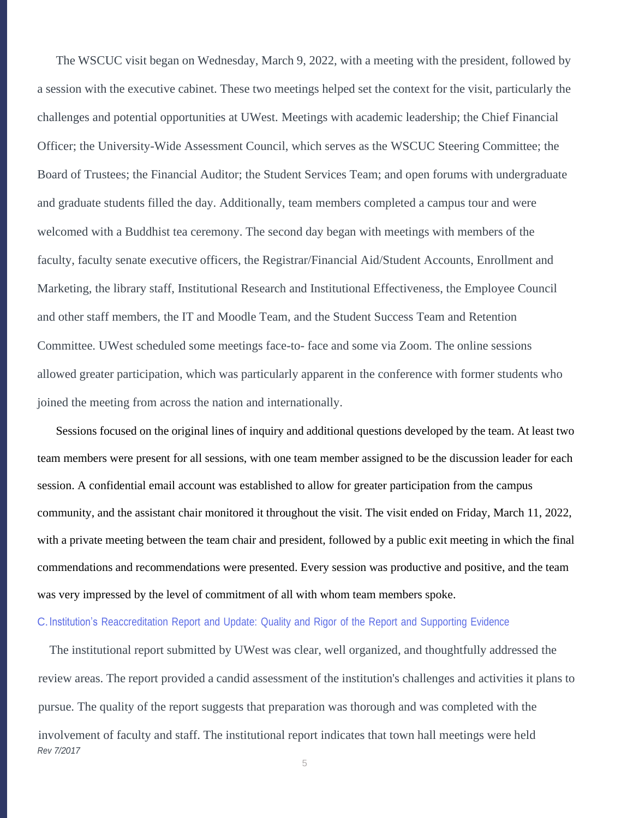The WSCUC visit began on Wednesday, March 9, 2022, with a meeting with the president, followed by a session with the executive cabinet. These two meetings helped set the context for the visit, particularly the challenges and potential opportunities at UWest. Meetings with academic leadership; the Chief Financial Officer; the University-Wide Assessment Council, which serves as the WSCUC Steering Committee; the Board of Trustees; the Financial Auditor; the Student Services Team; and open forums with undergraduate and graduate students filled the day. Additionally, team members completed a campus tour and were welcomed with a Buddhist tea ceremony. The second day began with meetings with members of the faculty, faculty senate executive officers, the Registrar/Financial Aid/Student Accounts, Enrollment and Marketing, the library staff, Institutional Research and Institutional Effectiveness, the Employee Council and other staff members, the IT and Moodle Team, and the Student Success Team and Retention Committee. UWest scheduled some meetings face-to- face and some via Zoom. The online sessions allowed greater participation, which was particularly apparent in the conference with former students who joined the meeting from across the nation and internationally.

Sessions focused on the original lines of inquiry and additional questions developed by the team. At least two team members were present for all sessions, with one team member assigned to be the discussion leader for each session. A confidential email account was established to allow for greater participation from the campus community, and the assistant chair monitored it throughout the visit. The visit ended on Friday, March 11, 2022, with a private meeting between the team chair and president, followed by a public exit meeting in which the final commendations and recommendations were presented. Every session was productive and positive, and the team was very impressed by the level of commitment of all with whom team members spoke.

### C.Institution's Reaccreditation Report and Update: Quality and Rigor of the Report and Supporting Evidence

*Rev 7/2017* The institutional report submitted by UWest was clear, well organized, and thoughtfully addressed the review areas. The report provided a candid assessment of the institution's challenges and activities it plans to pursue. The quality of the report suggests that preparation was thorough and was completed with the involvement of faculty and staff. The institutional report indicates that town hall meetings were held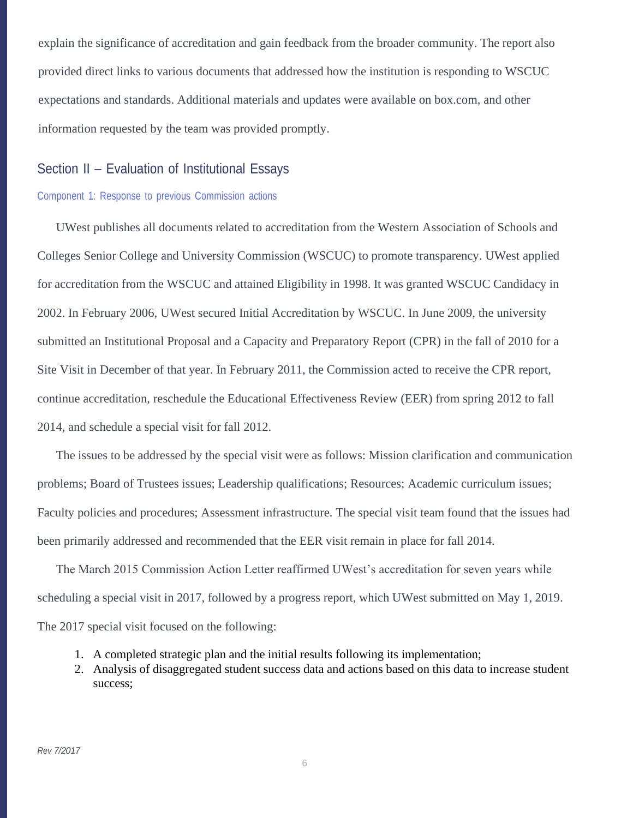explain the significance of accreditation and gain feedback from the broader community. The report also provided direct links to various documents that addressed how the institution is responding to WSCUC expectations and standards. Additional materials and updates were available on box.com, and other information requested by the team was provided promptly.

# Section II – Evaluation of Institutional Essays

#### Component 1: Response to previous Commission actions

UWest publishes all documents related to accreditation from the Western Association of Schools and Colleges Senior College and University Commission (WSCUC) to promote transparency. UWest applied for accreditation from the WSCUC and attained Eligibility in 1998. It was granted WSCUC Candidacy in 2002. In February 2006, UWest secured Initial Accreditation by WSCUC. In June 2009, the university submitted an Institutional Proposal and a Capacity and Preparatory Report (CPR) in the fall of 2010 for a Site Visit in December of that year. In February 2011, the Commission acted to receive the CPR report, continue accreditation, reschedule the Educational Effectiveness Review (EER) from spring 2012 to fall 2014, and schedule a special visit for fall 2012.

The issues to be addressed by the special visit were as follows: Mission clarification and communication problems; Board of Trustees issues; Leadership qualifications; Resources; Academic curriculum issues; Faculty policies and procedures; Assessment infrastructure. The special visit team found that the issues had been primarily addressed and recommended that the EER visit remain in place for fall 2014.

The March 2015 Commission Action Letter reaffirmed UWest's accreditation for seven years while scheduling a special visit in 2017, followed by a progress report, which UWest submitted on May 1, 2019. The 2017 special visit focused on the following:

- 1. A completed strategic plan and the initial results following its implementation;
- 2. Analysis of disaggregated student success data and actions based on this data to increase student success;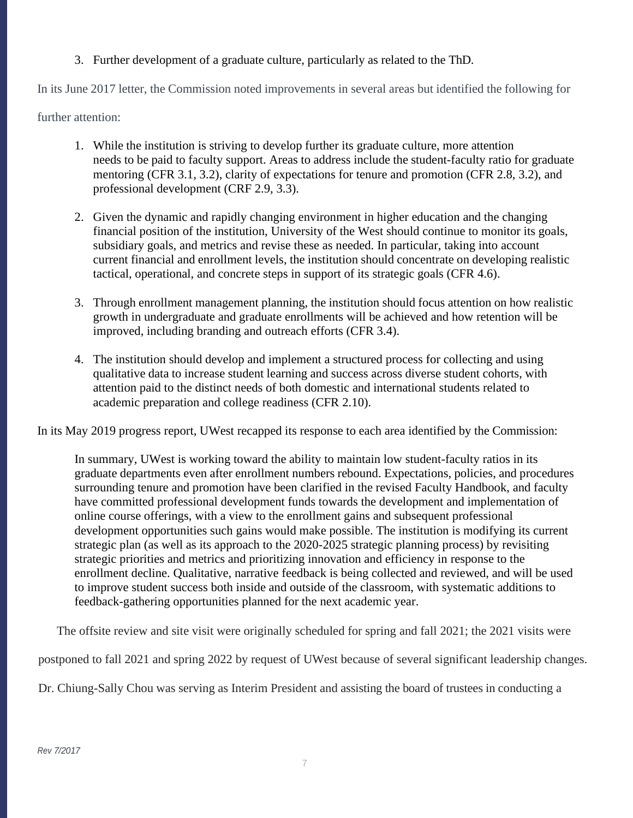# 3. Further development of a graduate culture, particularly as related to the ThD.

In its June 2017 letter, the Commission noted improvements in several areas but identified the following for

further attention:

- 1. While the institution is striving to develop further its graduate culture, more attention needs to be paid to faculty support. Areas to address include the student-faculty ratio for graduate mentoring (CFR 3.1, 3.2), clarity of expectations for tenure and promotion (CFR 2.8, 3.2), and professional development (CRF 2.9, 3.3).
- 2. Given the dynamic and rapidly changing environment in higher education and the changing financial position of the institution, University of the West should continue to monitor its goals, subsidiary goals, and metrics and revise these as needed. In particular, taking into account current financial and enrollment levels, the institution should concentrate on developing realistic tactical, operational, and concrete steps in support of its strategic goals (CFR 4.6).
- 3. Through enrollment management planning, the institution should focus attention on how realistic growth in undergraduate and graduate enrollments will be achieved and how retention will be improved, including branding and outreach efforts (CFR 3.4).
- 4. The institution should develop and implement a structured process for collecting and using qualitative data to increase student learning and success across diverse student cohorts, with attention paid to the distinct needs of both domestic and international students related to academic preparation and college readiness (CFR 2.10).

In its May 2019 progress report, UWest recapped its response to each area identified by the Commission:

In summary, UWest is working toward the ability to maintain low student-faculty ratios in its graduate departments even after enrollment numbers rebound. Expectations, policies, and procedures surrounding tenure and promotion have been clarified in the revised Faculty Handbook, and faculty have committed professional development funds towards the development and implementation of online course offerings, with a view to the enrollment gains and subsequent professional development opportunities such gains would make possible. The institution is modifying its current strategic plan (as well as its approach to the 2020-2025 strategic planning process) by revisiting strategic priorities and metrics and prioritizing innovation and efficiency in response to the enrollment decline. Qualitative, narrative feedback is being collected and reviewed, and will be used to improve student success both inside and outside of the classroom, with systematic additions to feedback-gathering opportunities planned for the next academic year.

The offsite review and site visit were originally scheduled for spring and fall 2021; the 2021 visits were

postponed to fall 2021 and spring 2022 by request of UWest because of several significant leadership changes.

Dr. Chiung-Sally Chou was serving as Interim President and assisting the board of trustees in conducting a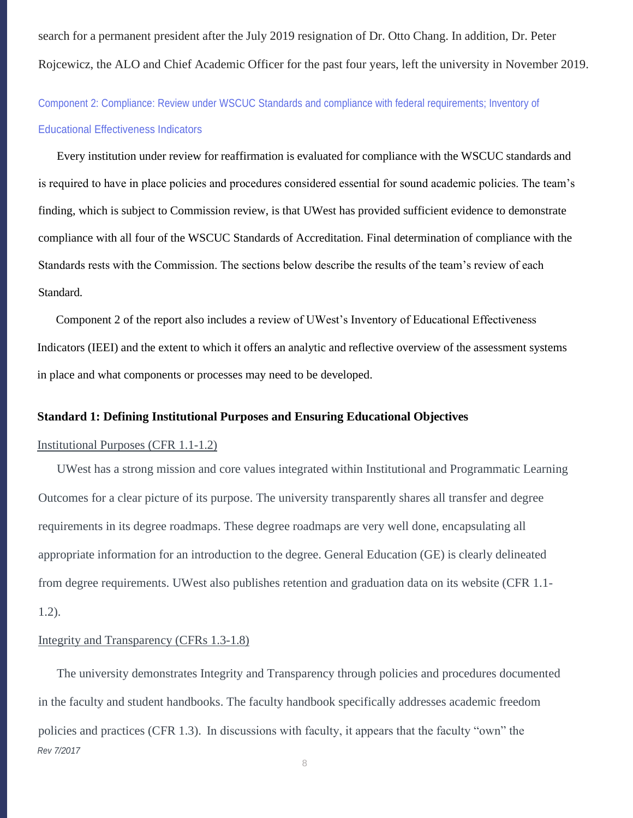search for a permanent president after the July 2019 resignation of Dr. Otto Chang. In addition, Dr. Peter Rojcewicz, the ALO and Chief Academic Officer for the past four years, left the university in November 2019.

Component 2: Compliance: Review under WSCUC Standards and compliance with federal requirements; Inventory of Educational Effectiveness Indicators

Every institution under review for reaffirmation is evaluated for compliance with the WSCUC standards and is required to have in place policies and procedures considered essential for sound academic policies. The team's finding, which is subject to Commission review, is that UWest has provided sufficient evidence to demonstrate compliance with all four of the WSCUC Standards of Accreditation. Final determination of compliance with the Standards rests with the Commission. The sections below describe the results of the team's review of each Standard.

Component 2 of the report also includes a review of UWest's Inventory of Educational Effectiveness Indicators (IEEI) and the extent to which it offers an analytic and reflective overview of the assessment systems in place and what components or processes may need to be developed.

### **Standard 1: Defining Institutional Purposes and Ensuring Educational Objectives**

## Institutional Purposes (CFR 1.1-1.2)

UWest has a strong mission and core values integrated within Institutional and Programmatic Learning Outcomes for a clear picture of its purpose. The university transparently shares all transfer and degree requirements in its degree roadmaps. These degree roadmaps are very well done, encapsulating all appropriate information for an introduction to the degree. General Education (GE) is clearly delineated from degree requirements. UWest also publishes retention and graduation data on its website (CFR 1.1- 1.2).

#### Integrity and Transparency (CFRs 1.3-1.8)

*Rev 7/2017* The university demonstrates Integrity and Transparency through policies and procedures documented in the faculty and student handbooks. The faculty handbook specifically addresses academic freedom policies and practices (CFR 1.3). In discussions with faculty, it appears that the faculty "own" the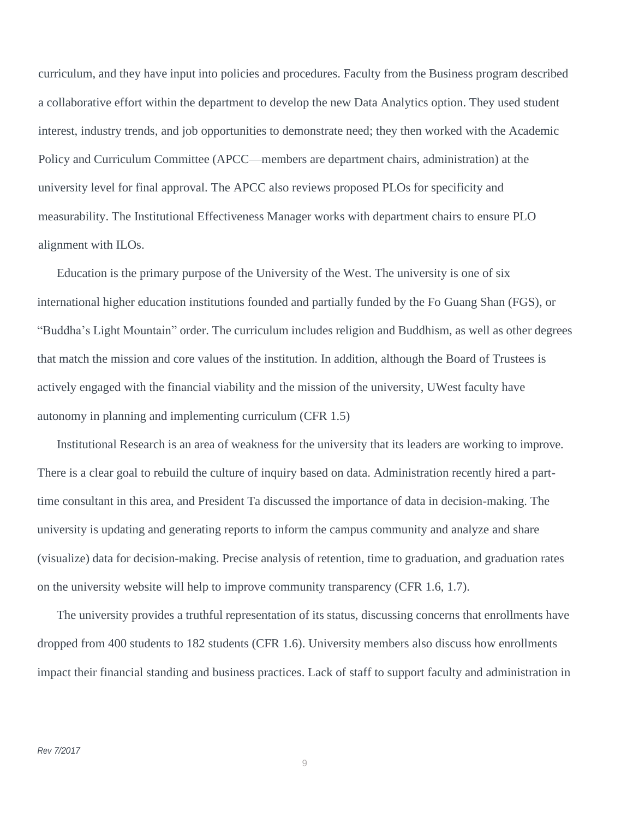curriculum, and they have input into policies and procedures. Faculty from the Business program described a collaborative effort within the department to develop the new Data Analytics option. They used student interest, industry trends, and job opportunities to demonstrate need; they then worked with the Academic Policy and Curriculum Committee (APCC—members are department chairs, administration) at the university level for final approval. The APCC also reviews proposed PLOs for specificity and measurability. The Institutional Effectiveness Manager works with department chairs to ensure PLO alignment with ILOs.

Education is the primary purpose of the University of the West. The university is one of six international higher education institutions founded and partially funded by the Fo Guang Shan (FGS), or "Buddha's Light Mountain" order. The curriculum includes religion and Buddhism, as well as other degrees that match the mission and core values of the institution. In addition, although the Board of Trustees is actively engaged with the financial viability and the mission of the university, UWest faculty have autonomy in planning and implementing curriculum (CFR 1.5)

Institutional Research is an area of weakness for the university that its leaders are working to improve. There is a clear goal to rebuild the culture of inquiry based on data. Administration recently hired a parttime consultant in this area, and President Ta discussed the importance of data in decision-making. The university is updating and generating reports to inform the campus community and analyze and share (visualize) data for decision-making. Precise analysis of retention, time to graduation, and graduation rates on the university website will help to improve community transparency (CFR 1.6, 1.7).

The university provides a truthful representation of its status, discussing concerns that enrollments have dropped from 400 students to 182 students (CFR 1.6). University members also discuss how enrollments impact their financial standing and business practices. Lack of staff to support faculty and administration in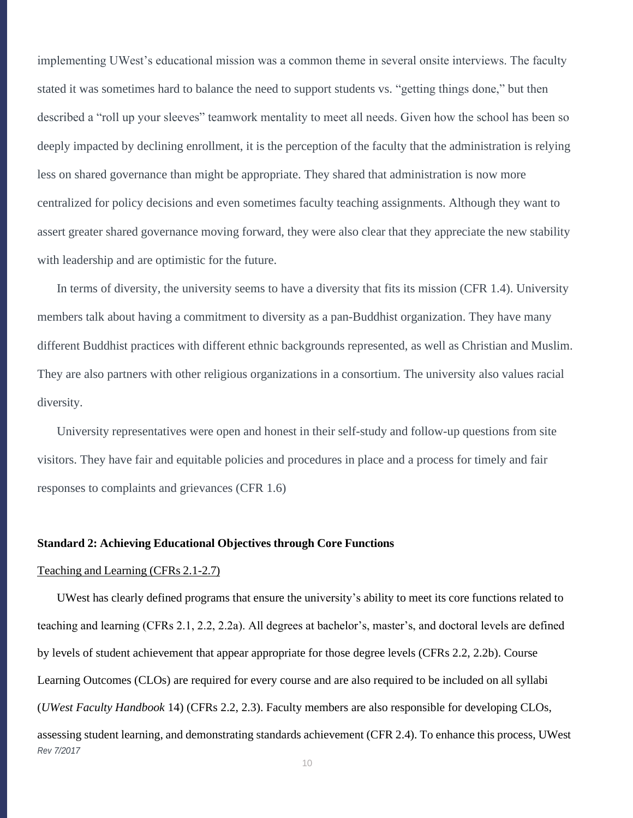implementing UWest's educational mission was a common theme in several onsite interviews. The faculty stated it was sometimes hard to balance the need to support students vs. "getting things done," but then described a "roll up your sleeves" teamwork mentality to meet all needs. Given how the school has been so deeply impacted by declining enrollment, it is the perception of the faculty that the administration is relying less on shared governance than might be appropriate. They shared that administration is now more centralized for policy decisions and even sometimes faculty teaching assignments. Although they want to assert greater shared governance moving forward, they were also clear that they appreciate the new stability with leadership and are optimistic for the future.

In terms of diversity, the university seems to have a diversity that fits its mission (CFR 1.4). University members talk about having a commitment to diversity as a pan-Buddhist organization. They have many different Buddhist practices with different ethnic backgrounds represented, as well as Christian and Muslim. They are also partners with other religious organizations in a consortium. The university also values racial diversity.

University representatives were open and honest in their self-study and follow-up questions from site visitors. They have fair and equitable policies and procedures in place and a process for timely and fair responses to complaints and grievances (CFR 1.6)

#### **Standard 2: Achieving Educational Objectives through Core Functions**

#### Teaching and Learning (CFRs 2.1-2.7)

*Rev 7/2017* UWest has clearly defined programs that ensure the university's ability to meet its core functions related to teaching and learning (CFRs 2.1, 2.2, 2.2a). All degrees at bachelor's, master's, and doctoral levels are defined by levels of student achievement that appear appropriate for those degree levels (CFRs 2.2, 2.2b). Course Learning Outcomes (CLOs) are required for every course and are also required to be included on all syllabi (*UWest Faculty Handbook* 14) (CFRs 2.2, 2.3). Faculty members are also responsible for developing CLOs, assessing student learning, and demonstrating standards achievement (CFR 2.4). To enhance this process, UWest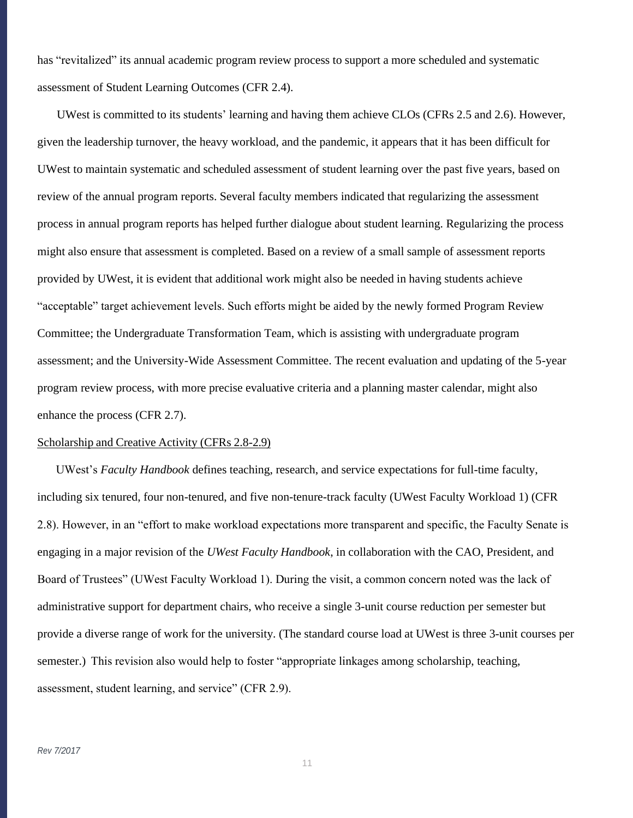has "revitalized" its annual academic program review process to support a more scheduled and systematic assessment of Student Learning Outcomes (CFR 2.4).

UWest is committed to its students' learning and having them achieve CLOs (CFRs 2.5 and 2.6). However, given the leadership turnover, the heavy workload, and the pandemic, it appears that it has been difficult for UWest to maintain systematic and scheduled assessment of student learning over the past five years, based on review of the annual program reports. Several faculty members indicated that regularizing the assessment process in annual program reports has helped further dialogue about student learning. Regularizing the process might also ensure that assessment is completed. Based on a review of a small sample of assessment reports provided by UWest, it is evident that additional work might also be needed in having students achieve "acceptable" target achievement levels. Such efforts might be aided by the newly formed Program Review Committee; the Undergraduate Transformation Team, which is assisting with undergraduate program assessment; and the University-Wide Assessment Committee. The recent evaluation and updating of the 5-year program review process, with more precise evaluative criteria and a planning master calendar, might also enhance the process (CFR 2.7).

#### Scholarship and Creative Activity (CFRs 2.8-2.9)

UWest's *Faculty Handbook* defines teaching, research, and service expectations for full-time faculty, including six tenured, four non-tenured, and five non-tenure-track faculty (UWest Faculty Workload 1) (CFR 2.8). However, in an "effort to make workload expectations more transparent and specific, the Faculty Senate is engaging in a major revision of the *UWest Faculty Handbook*, in collaboration with the CAO, President, and Board of Trustees" (UWest Faculty Workload 1). During the visit, a common concern noted was the lack of administrative support for department chairs, who receive a single 3-unit course reduction per semester but provide a diverse range of work for the university. (The standard course load at UWest is three 3-unit courses per semester.) This revision also would help to foster "appropriate linkages among scholarship, teaching, assessment, student learning, and service" (CFR 2.9).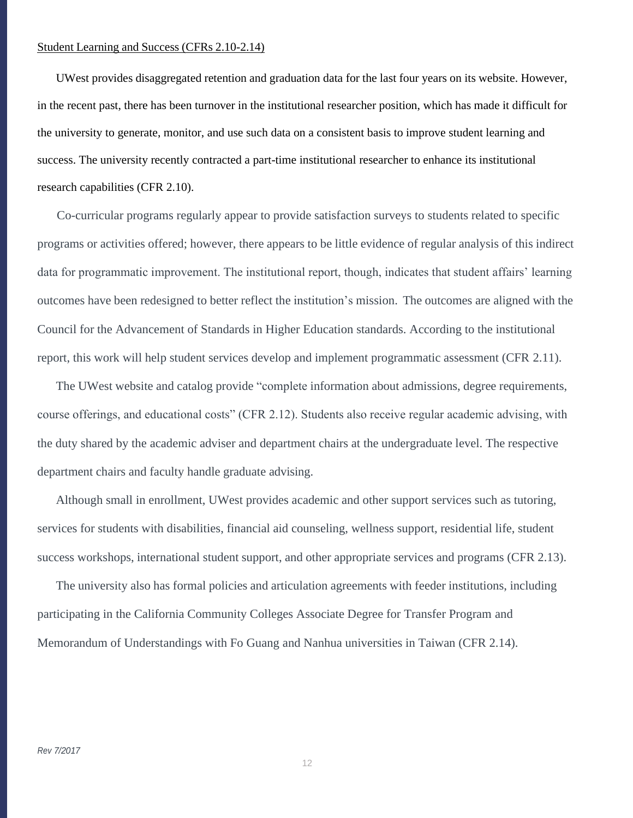### Student Learning and Success (CFRs 2.10-2.14)

UWest provides disaggregated retention and graduation data for the last four years on its website. However, in the recent past, there has been turnover in the institutional researcher position, which has made it difficult for the university to generate, monitor, and use such data on a consistent basis to improve student learning and success. The university recently contracted a part-time institutional researcher to enhance its institutional research capabilities (CFR 2.10).

Co-curricular programs regularly appear to provide satisfaction surveys to students related to specific programs or activities offered; however, there appears to be little evidence of regular analysis of this indirect data for programmatic improvement. The institutional report, though, indicates that student affairs' learning outcomes have been redesigned to better reflect the institution's mission. The outcomes are aligned with the Council for the Advancement of Standards in Higher Education standards. According to the institutional report, this work will help student services develop and implement programmatic assessment (CFR 2.11).

The UWest website and catalog provide "complete information about admissions, degree requirements, course offerings, and educational costs" (CFR 2.12). Students also receive regular academic advising, with the duty shared by the academic adviser and department chairs at the undergraduate level. The respective department chairs and faculty handle graduate advising.

Although small in enrollment, UWest provides academic and other support services such as tutoring, services for students with disabilities, financial aid counseling, wellness support, residential life, student success workshops, international student support, and other appropriate services and programs (CFR 2.13).

The university also has formal policies and articulation agreements with feeder institutions, including participating in the California Community Colleges Associate Degree for Transfer Program and Memorandum of Understandings with Fo Guang and Nanhua universities in Taiwan (CFR 2.14).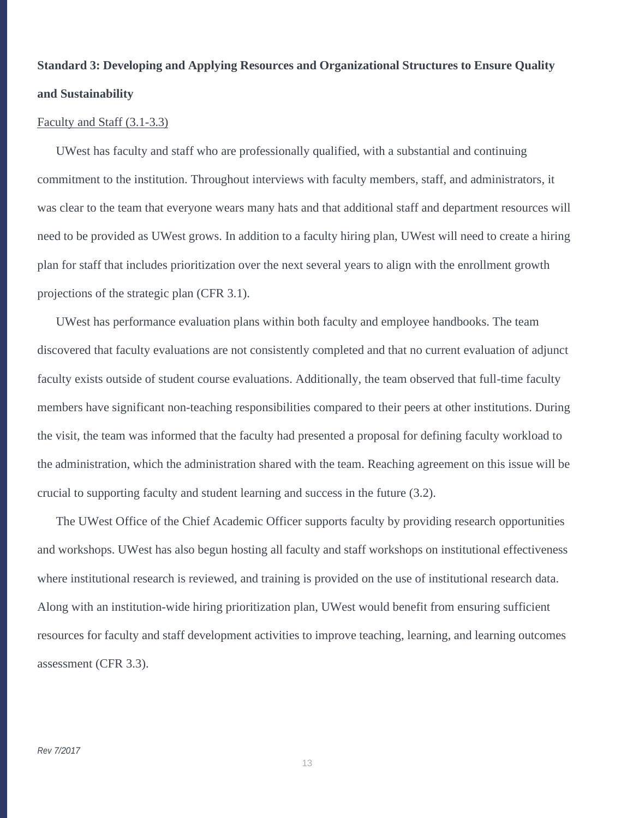# **Standard 3: Developing and Applying Resources and Organizational Structures to Ensure Quality and Sustainability**

#### Faculty and Staff (3.1-3.3)

UWest has faculty and staff who are professionally qualified, with a substantial and continuing commitment to the institution. Throughout interviews with faculty members, staff, and administrators, it was clear to the team that everyone wears many hats and that additional staff and department resources will need to be provided as UWest grows. In addition to a faculty hiring plan, UWest will need to create a hiring plan for staff that includes prioritization over the next several years to align with the enrollment growth projections of the strategic plan (CFR 3.1).

UWest has performance evaluation plans within both faculty and employee handbooks. The team discovered that faculty evaluations are not consistently completed and that no current evaluation of adjunct faculty exists outside of student course evaluations. Additionally, the team observed that full-time faculty members have significant non-teaching responsibilities compared to their peers at other institutions. During the visit, the team was informed that the faculty had presented a proposal for defining faculty workload to the administration, which the administration shared with the team. Reaching agreement on this issue will be crucial to supporting faculty and student learning and success in the future (3.2).

The UWest Office of the Chief Academic Officer supports faculty by providing research opportunities and workshops. UWest has also begun hosting all faculty and staff workshops on institutional effectiveness where institutional research is reviewed, and training is provided on the use of institutional research data. Along with an institution-wide hiring prioritization plan, UWest would benefit from ensuring sufficient resources for faculty and staff development activities to improve teaching, learning, and learning outcomes assessment (CFR 3.3).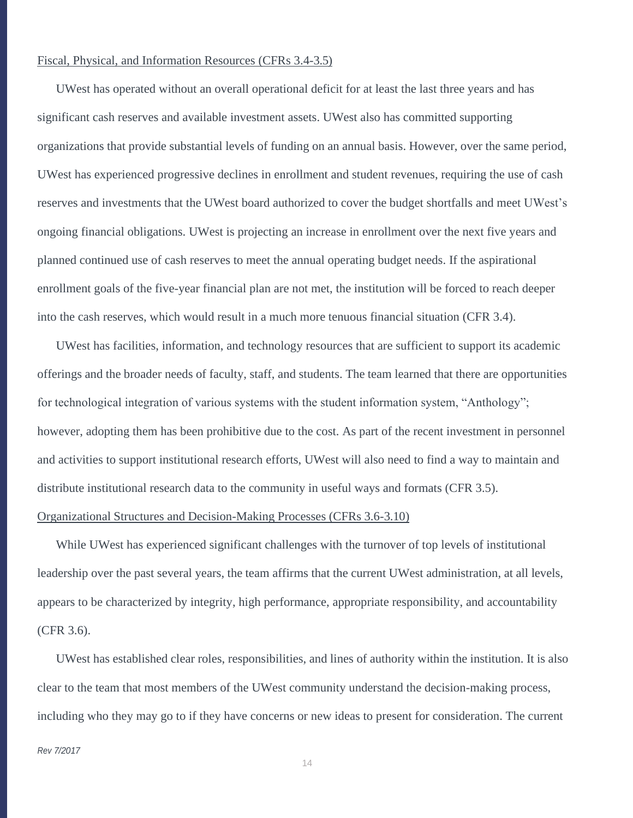#### Fiscal, Physical, and Information Resources (CFRs 3.4-3.5)

UWest has operated without an overall operational deficit for at least the last three years and has significant cash reserves and available investment assets. UWest also has committed supporting organizations that provide substantial levels of funding on an annual basis. However, over the same period, UWest has experienced progressive declines in enrollment and student revenues, requiring the use of cash reserves and investments that the UWest board authorized to cover the budget shortfalls and meet UWest's ongoing financial obligations. UWest is projecting an increase in enrollment over the next five years and planned continued use of cash reserves to meet the annual operating budget needs. If the aspirational enrollment goals of the five-year financial plan are not met, the institution will be forced to reach deeper into the cash reserves, which would result in a much more tenuous financial situation (CFR 3.4).

UWest has facilities, information, and technology resources that are sufficient to support its academic offerings and the broader needs of faculty, staff, and students. The team learned that there are opportunities for technological integration of various systems with the student information system, "Anthology"; however, adopting them has been prohibitive due to the cost. As part of the recent investment in personnel and activities to support institutional research efforts, UWest will also need to find a way to maintain and distribute institutional research data to the community in useful ways and formats (CFR 3.5).

## Organizational Structures and Decision-Making Processes (CFRs 3.6-3.10)

While UWest has experienced significant challenges with the turnover of top levels of institutional leadership over the past several years, the team affirms that the current UWest administration, at all levels, appears to be characterized by integrity, high performance, appropriate responsibility, and accountability (CFR 3.6).

UWest has established clear roles, responsibilities, and lines of authority within the institution. It is also clear to the team that most members of the UWest community understand the decision-making process, including who they may go to if they have concerns or new ideas to present for consideration. The current

#### *Rev 7/2017*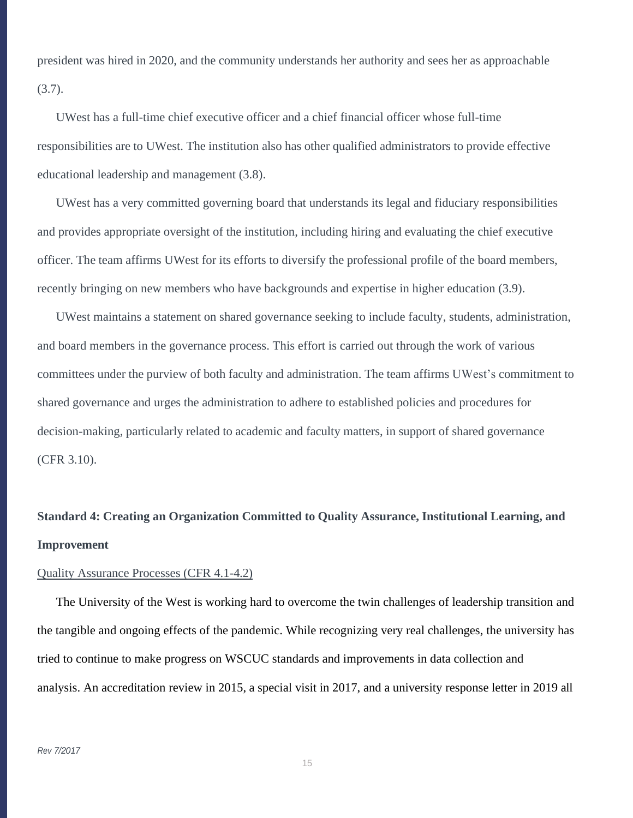president was hired in 2020, and the community understands her authority and sees her as approachable (3.7).

UWest has a full-time chief executive officer and a chief financial officer whose full-time responsibilities are to UWest. The institution also has other qualified administrators to provide effective educational leadership and management (3.8).

UWest has a very committed governing board that understands its legal and fiduciary responsibilities and provides appropriate oversight of the institution, including hiring and evaluating the chief executive officer. The team affirms UWest for its efforts to diversify the professional profile of the board members, recently bringing on new members who have backgrounds and expertise in higher education (3.9).

UWest maintains a statement on shared governance seeking to include faculty, students, administration, and board members in the governance process. This effort is carried out through the work of various committees under the purview of both faculty and administration. The team affirms UWest's commitment to shared governance and urges the administration to adhere to established policies and procedures for decision-making, particularly related to academic and faculty matters, in support of shared governance (CFR 3.10).

# **Standard 4: Creating an Organization Committed to Quality Assurance, Institutional Learning, and Improvement**

## Quality Assurance Processes (CFR 4.1-4.2)

The University of the West is working hard to overcome the twin challenges of leadership transition and the tangible and ongoing effects of the pandemic. While recognizing very real challenges, the university has tried to continue to make progress on WSCUC standards and improvements in data collection and analysis. An accreditation review in 2015, a special visit in 2017, and a university response letter in 2019 all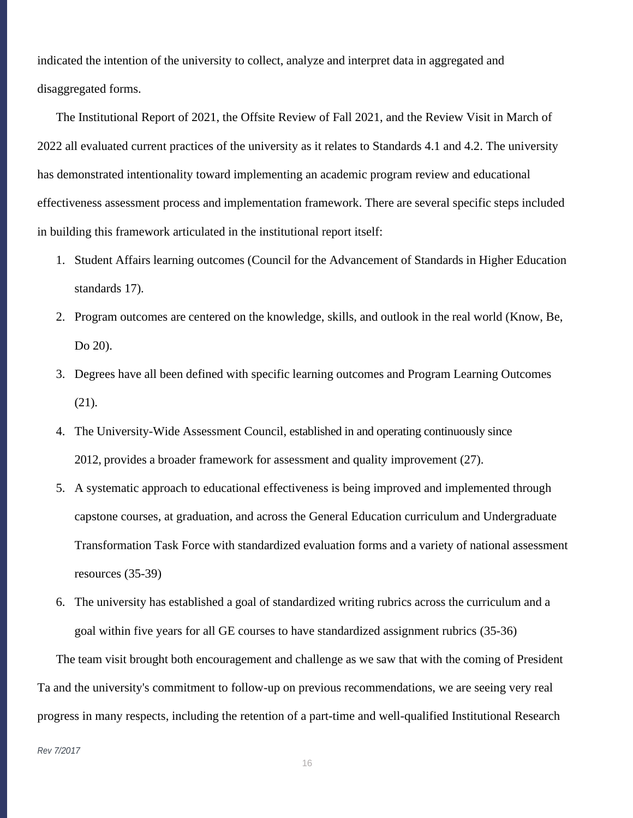indicated the intention of the university to collect, analyze and interpret data in aggregated and disaggregated forms.

The Institutional Report of 2021, the Offsite Review of Fall 2021, and the Review Visit in March of 2022 all evaluated current practices of the university as it relates to Standards 4.1 and 4.2. The university has demonstrated intentionality toward implementing an academic program review and educational effectiveness assessment process and implementation framework. There are several specific steps included in building this framework articulated in the institutional report itself:

- 1. Student Affairs learning outcomes (Council for the Advancement of Standards in Higher Education standards 17).
- 2. Program outcomes are centered on the knowledge, skills, and outlook in the real world (Know, Be, Do 20).
- 3. Degrees have all been defined with specific learning outcomes and Program Learning Outcomes (21).
- 4. The University-Wide Assessment Council, established in and operating continuously since 2012, provides a broader framework for assessment and quality improvement (27).
- 5. A systematic approach to educational effectiveness is being improved and implemented through capstone courses, at graduation, and across the General Education curriculum and Undergraduate Transformation Task Force with standardized evaluation forms and a variety of national assessment resources (35-39)
- 6. The university has established a goal of standardized writing rubrics across the curriculum and a goal within five years for all GE courses to have standardized assignment rubrics (35-36)

The team visit brought both encouragement and challenge as we saw that with the coming of President Ta and the university's commitment to follow-up on previous recommendations, we are seeing very real progress in many respects, including the retention of a part-time and well-qualified Institutional Research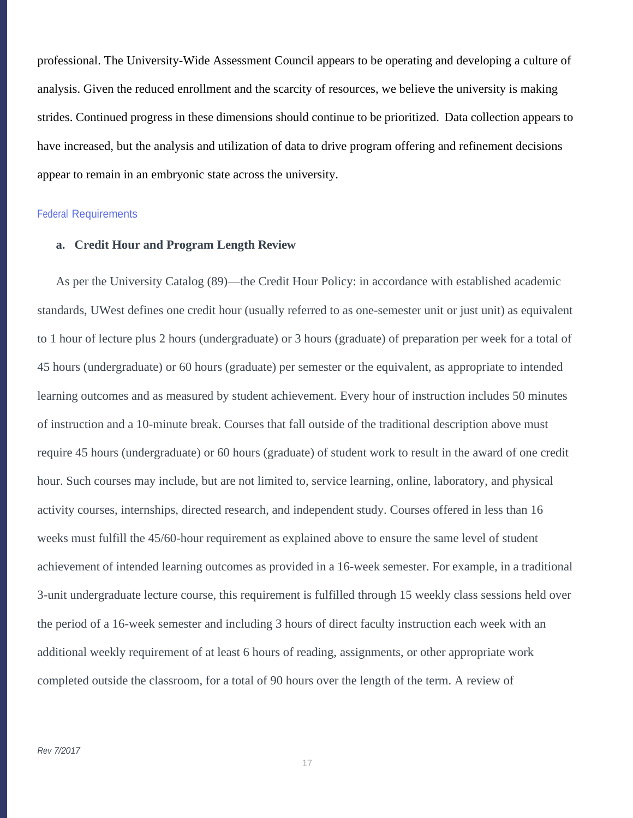professional. The University-Wide Assessment Council appears to be operating and developing a culture of analysis. Given the reduced enrollment and the scarcity of resources, we believe the university is making strides. Continued progress in these dimensions should continue to be prioritized. Data collection appears to have increased, but the analysis and utilization of data to drive program offering and refinement decisions appear to remain in an embryonic state across the university.

#### Federal Requirements

### **a. Credit Hour and Program Length Review**

As per the University Catalog (89)—the Credit Hour Policy: in accordance with established academic standards, UWest defines one credit hour (usually referred to as one-semester unit or just unit) as equivalent to 1 hour of lecture plus 2 hours (undergraduate) or 3 hours (graduate) of preparation per week for a total of 45 hours (undergraduate) or 60 hours (graduate) per semester or the equivalent, as appropriate to intended learning outcomes and as measured by student achievement. Every hour of instruction includes 50 minutes of instruction and a 10-minute break. Courses that fall outside of the traditional description above must require 45 hours (undergraduate) or 60 hours (graduate) of student work to result in the award of one credit hour. Such courses may include, but are not limited to, service learning, online, laboratory, and physical activity courses, internships, directed research, and independent study. Courses offered in less than 16 weeks must fulfill the 45/60-hour requirement as explained above to ensure the same level of student achievement of intended learning outcomes as provided in a 16-week semester. For example, in a traditional 3-unit undergraduate lecture course, this requirement is fulfilled through 15 weekly class sessions held over the period of a 16-week semester and including 3 hours of direct faculty instruction each week with an additional weekly requirement of at least 6 hours of reading, assignments, or other appropriate work completed outside the classroom, for a total of 90 hours over the length of the term. A review of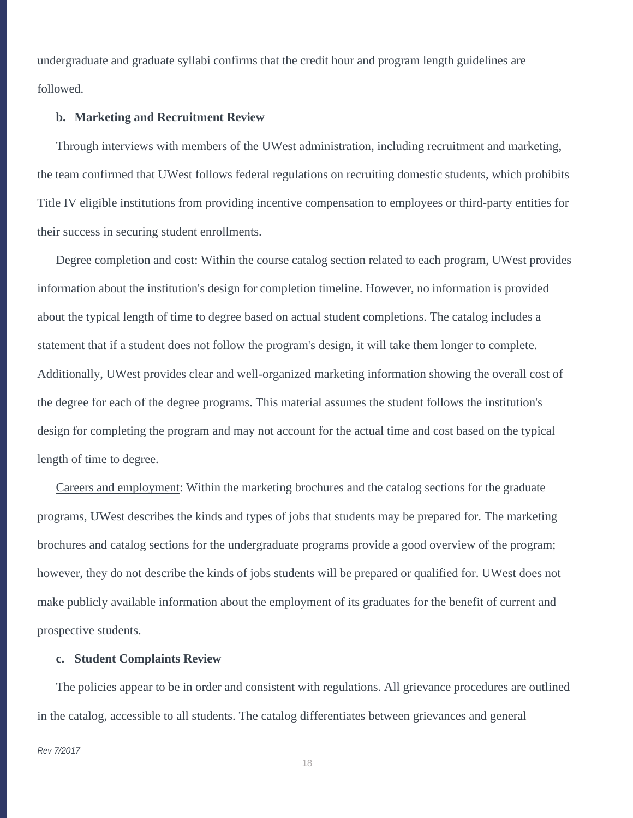undergraduate and graduate syllabi confirms that the credit hour and program length guidelines are followed.

#### **b. Marketing and Recruitment Review**

Through interviews with members of the UWest administration, including recruitment and marketing, the team confirmed that UWest follows federal regulations on recruiting domestic students, which prohibits Title IV eligible institutions from providing incentive compensation to employees or third-party entities for their success in securing student enrollments.

Degree completion and cost: Within the course catalog section related to each program, UWest provides information about the institution's design for completion timeline. However, no information is provided about the typical length of time to degree based on actual student completions. The catalog includes a statement that if a student does not follow the program's design, it will take them longer to complete. Additionally, UWest provides clear and well-organized marketing information showing the overall cost of the degree for each of the degree programs. This material assumes the student follows the institution's design for completing the program and may not account for the actual time and cost based on the typical length of time to degree.

Careers and employment: Within the marketing brochures and the catalog sections for the graduate programs, UWest describes the kinds and types of jobs that students may be prepared for. The marketing brochures and catalog sections for the undergraduate programs provide a good overview of the program; however, they do not describe the kinds of jobs students will be prepared or qualified for. UWest does not make publicly available information about the employment of its graduates for the benefit of current and prospective students.

### **c. Student Complaints Review**

The policies appear to be in order and consistent with regulations. All grievance procedures are outlined in the catalog, accessible to all students. The catalog differentiates between grievances and general

#### *Rev 7/2017*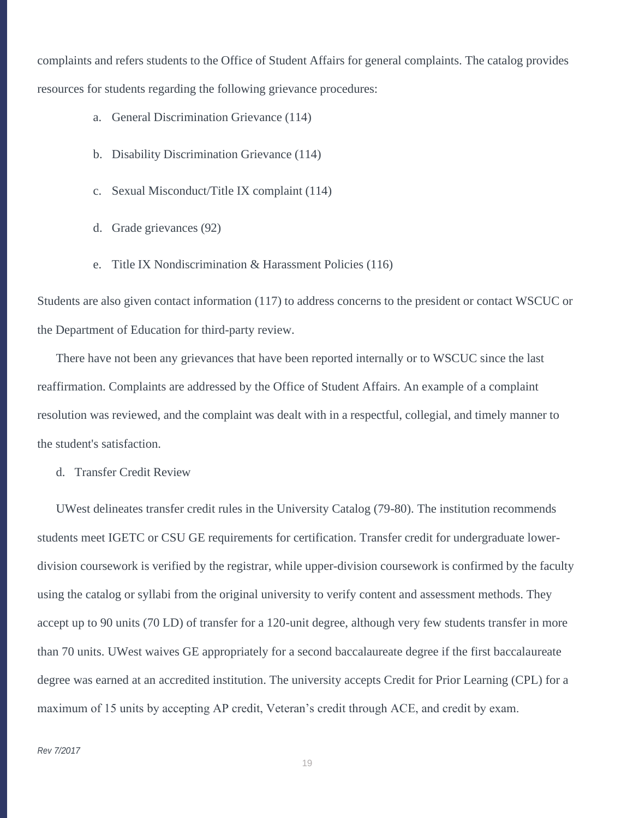complaints and refers students to the Office of Student Affairs for general complaints. The catalog provides resources for students regarding the following grievance procedures:

- a. General Discrimination Grievance (114)
- b. Disability Discrimination Grievance (114)
- c. Sexual Misconduct/Title IX complaint (114)
- d. Grade grievances (92)
- e. Title IX Nondiscrimination & Harassment Policies (116)

Students are also given contact information (117) to address concerns to the president or contact WSCUC or the Department of Education for third-party review.

There have not been any grievances that have been reported internally or to WSCUC since the last reaffirmation. Complaints are addressed by the Office of Student Affairs. An example of a complaint resolution was reviewed, and the complaint was dealt with in a respectful, collegial, and timely manner to the student's satisfaction.

d. Transfer Credit Review

UWest delineates transfer credit rules in the University Catalog (79-80). The institution recommends students meet IGETC or CSU GE requirements for certification. Transfer credit for undergraduate lowerdivision coursework is verified by the registrar, while upper-division coursework is confirmed by the faculty using the catalog or syllabi from the original university to verify content and assessment methods. They accept up to 90 units (70 LD) of transfer for a 120-unit degree, although very few students transfer in more than 70 units. UWest waives GE appropriately for a second baccalaureate degree if the first baccalaureate degree was earned at an accredited institution. The university accepts Credit for Prior Learning (CPL) for a maximum of 15 units by accepting AP credit, Veteran's credit through ACE, and credit by exam.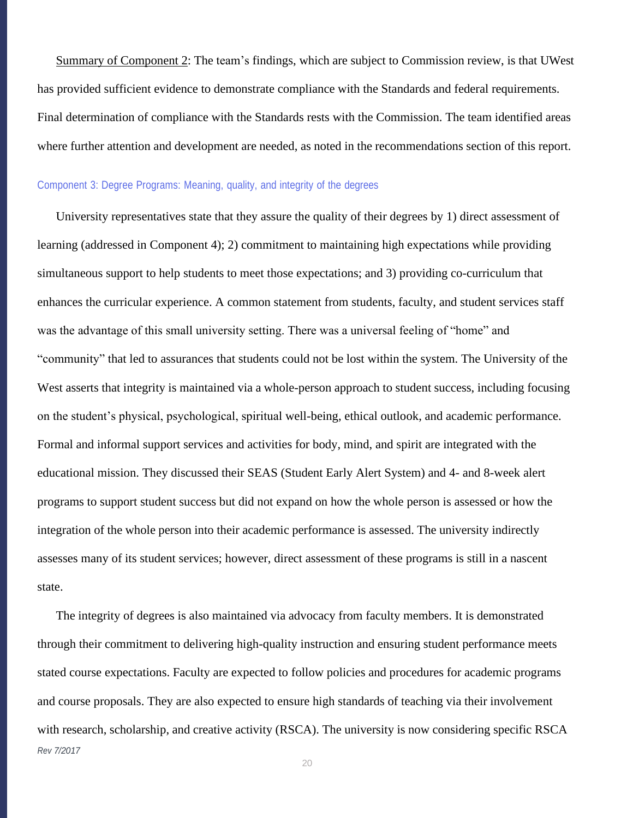Summary of Component 2: The team's findings, which are subject to Commission review, is that UWest has provided sufficient evidence to demonstrate compliance with the Standards and federal requirements. Final determination of compliance with the Standards rests with the Commission. The team identified areas where further attention and development are needed, as noted in the recommendations section of this report.

### Component 3: Degree Programs: Meaning, quality, and integrity of the degrees

University representatives state that they assure the quality of their degrees by 1) direct assessment of learning (addressed in Component 4); 2) commitment to maintaining high expectations while providing simultaneous support to help students to meet those expectations; and 3) providing co-curriculum that enhances the curricular experience. A common statement from students, faculty, and student services staff was the advantage of this small university setting. There was a universal feeling of "home" and "community" that led to assurances that students could not be lost within the system. The University of the West asserts that integrity is maintained via a whole-person approach to student success, including focusing on the student's physical, psychological, spiritual well-being, ethical outlook, and academic performance. Formal and informal support services and activities for body, mind, and spirit are integrated with the educational mission. They discussed their SEAS (Student Early Alert System) and 4- and 8-week alert programs to support student success but did not expand on how the whole person is assessed or how the integration of the whole person into their academic performance is assessed. The university indirectly assesses many of its student services; however, direct assessment of these programs is still in a nascent state.

*Rev 7/2017* The integrity of degrees is also maintained via advocacy from faculty members. It is demonstrated through their commitment to delivering high-quality instruction and ensuring student performance meets stated course expectations. Faculty are expected to follow policies and procedures for academic programs and course proposals. They are also expected to ensure high standards of teaching via their involvement with research, scholarship, and creative activity (RSCA). The university is now considering specific RSCA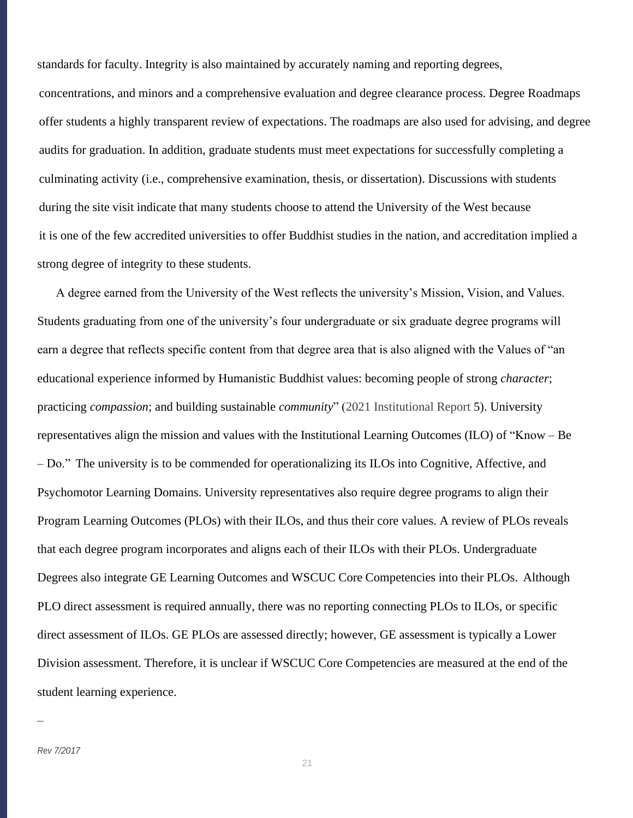standards for faculty. Integrity is also maintained by accurately naming and reporting degrees, concentrations, and minors and a comprehensive evaluation and degree clearance process. Degree Roadmaps offer students a highly transparent review of expectations. The roadmaps are also used for advising, and degree audits for graduation. In addition, graduate students must meet expectations for successfully completing a culminating activity (i.e., comprehensive examination, thesis, or dissertation). Discussions with students during the site visit indicate that many students choose to attend the University of the West because it is one of the few accredited universities to offer Buddhist studies in the nation, and accreditation implied a strong degree of integrity to these students.

A degree earned from the University of the West reflects the university's Mission, Vision, and Values. Students graduating from one of the university's four undergraduate or six graduate degree programs will earn a degree that reflects specific content from that degree area that is also aligned with the Values of "an educational experience informed by Humanistic Buddhist values: becoming people of strong *character*; practicing *compassion*; and building sustainable *community*" (2021 Institutional Report 5). University representatives align the mission and values with the Institutional Learning Outcomes (ILO) of "Know – Be – Do." The university is to be commended for operationalizing its ILOs into Cognitive, Affective, and Psychomotor Learning Domains. University representatives also require degree programs to align their Program Learning Outcomes (PLOs) with their ILOs, and thus their core values. A review of PLOs reveals that each degree program incorporates and aligns each of their ILOs with their PLOs. Undergraduate Degrees also integrate GE Learning Outcomes and WSCUC Core Competencies into their PLOs. Although PLO direct assessment is required annually, there was no reporting connecting PLOs to ILOs, or specific direct assessment of ILOs. GE PLOs are assessed directly; however, GE assessment is typically a Lower Division assessment. Therefore, it is unclear if WSCUC Core Competencies are measured at the end of the student learning experience.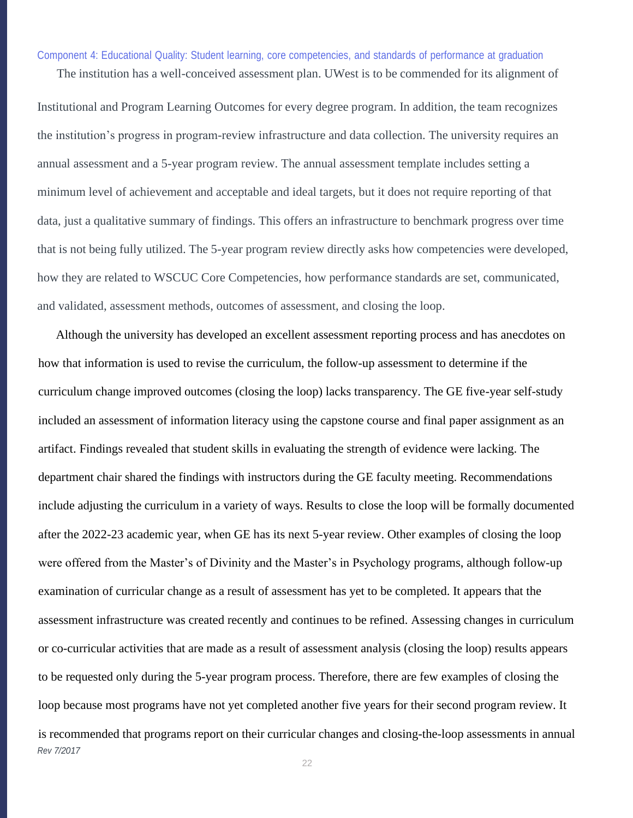Component 4: Educational Quality: Student learning, core competencies, and standards of performance at graduation

The institution has a well-conceived assessment plan. UWest is to be commended for its alignment of

Institutional and Program Learning Outcomes for every degree program. In addition, the team recognizes the institution's progress in program-review infrastructure and data collection. The university requires an annual assessment and a 5-year program review. The annual assessment template includes setting a minimum level of achievement and acceptable and ideal targets, but it does not require reporting of that data, just a qualitative summary of findings. This offers an infrastructure to benchmark progress over time that is not being fully utilized. The 5-year program review directly asks how competencies were developed, how they are related to WSCUC Core Competencies, how performance standards are set, communicated, and validated, assessment methods, outcomes of assessment, and closing the loop.

*Rev 7/2017* Although the university has developed an excellent assessment reporting process and has anecdotes on how that information is used to revise the curriculum, the follow-up assessment to determine if the curriculum change improved outcomes (closing the loop) lacks transparency. The GE five-year self-study included an assessment of information literacy using the capstone course and final paper assignment as an artifact. Findings revealed that student skills in evaluating the strength of evidence were lacking. The department chair shared the findings with instructors during the GE faculty meeting. Recommendations include adjusting the curriculum in a variety of ways. Results to close the loop will be formally documented after the 2022-23 academic year, when GE has its next 5-year review. Other examples of closing the loop were offered from the Master's of Divinity and the Master's in Psychology programs, although follow-up examination of curricular change as a result of assessment has yet to be completed. It appears that the assessment infrastructure was created recently and continues to be refined. Assessing changes in curriculum or co-curricular activities that are made as a result of assessment analysis (closing the loop) results appears to be requested only during the 5-year program process. Therefore, there are few examples of closing the loop because most programs have not yet completed another five years for their second program review. It is recommended that programs report on their curricular changes and closing-the-loop assessments in annual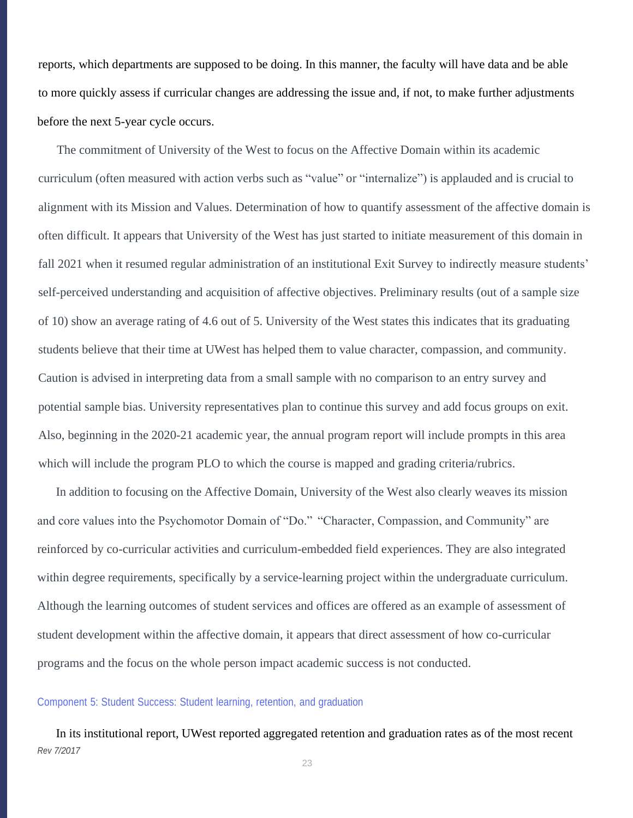reports, which departments are supposed to be doing. In this manner, the faculty will have data and be able to more quickly assess if curricular changes are addressing the issue and, if not, to make further adjustments before the next 5-year cycle occurs.

The commitment of University of the West to focus on the Affective Domain within its academic curriculum (often measured with action verbs such as "value" or "internalize") is applauded and is crucial to alignment with its Mission and Values. Determination of how to quantify assessment of the affective domain is often difficult. It appears that University of the West has just started to initiate measurement of this domain in fall 2021 when it resumed regular administration of an institutional Exit Survey to indirectly measure students' self-perceived understanding and acquisition of affective objectives. Preliminary results (out of a sample size of 10) show an average rating of 4.6 out of 5. University of the West states this indicates that its graduating students believe that their time at UWest has helped them to value character, compassion, and community. Caution is advised in interpreting data from a small sample with no comparison to an entry survey and potential sample bias. University representatives plan to continue this survey and add focus groups on exit. Also, beginning in the 2020-21 academic year, the annual program report will include prompts in this area which will include the program PLO to which the course is mapped and grading criteria/rubrics.

In addition to focusing on the Affective Domain, University of the West also clearly weaves its mission and core values into the Psychomotor Domain of "Do." "Character, Compassion, and Community" are reinforced by co-curricular activities and curriculum-embedded field experiences. They are also integrated within degree requirements, specifically by a service-learning project within the undergraduate curriculum. Although the learning outcomes of student services and offices are offered as an example of assessment of student development within the affective domain, it appears that direct assessment of how co-curricular programs and the focus on the whole person impact academic success is not conducted.

#### Component 5: Student Success: Student learning, retention, and graduation

*Rev 7/2017* In its institutional report, UWest reported aggregated retention and graduation rates as of the most recent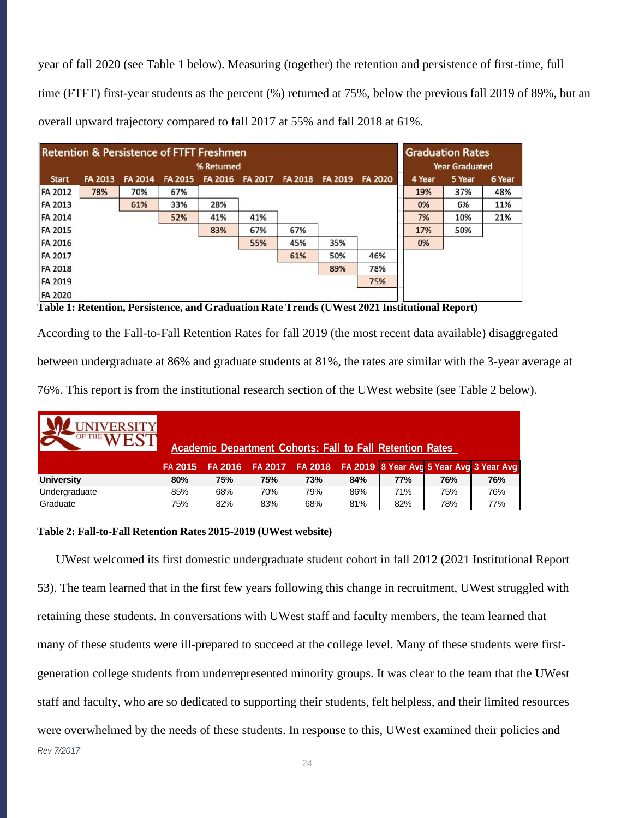year of fall 2020 (see Table 1 below). Measuring (together) the retention and persistence of first-time, full time (FTFT) first-year students as the percent (%) returned at 75%, below the previous fall 2019 of 89%, but an overall upward trajectory compared to fall 2017 at 55% and fall 2018 at 61%.

| <b>Retention &amp; Persistence of FTFT Freshmen</b> |                |                |                |                |         | <b>Graduation Rates</b> |         |                |        |        |        |
|-----------------------------------------------------|----------------|----------------|----------------|----------------|---------|-------------------------|---------|----------------|--------|--------|--------|
| % Returned                                          |                |                |                |                |         | <b>Year Graduated</b>   |         |                |        |        |        |
| <b>Start</b>                                        | <b>FA 2013</b> | <b>FA 2014</b> | <b>FA 2015</b> | <b>FA 2016</b> | FA 2017 | <b>FA 2018</b>          | FA 2019 | <b>FA 2020</b> | 4 Year | 5 Year | 6 Year |
| <b>FA 2012</b>                                      | 78%            | 70%            | 67%            |                |         |                         |         |                | 19%    | 37%    | 48%    |
| <b>FA 2013</b>                                      |                | 61%            | 33%            | 28%            |         |                         |         |                | 0%     | 6%     | 11%    |
| FA 2014                                             |                |                | 52%            | 41%            | 41%     |                         |         |                | 7%     | 10%    | 21%    |
| <b>FA 2015</b>                                      |                |                |                | 83%            | 67%     | 67%                     |         |                | 17%    | 50%    |        |
| <b>FA 2016</b>                                      |                |                |                |                | 55%     | 45%                     | 35%     |                | 0%     |        |        |
| <b>FA 2017</b>                                      |                |                |                |                |         | 61%                     | 50%     | 46%            |        |        |        |
| <b>FA 2018</b>                                      |                |                |                |                |         |                         | 89%     | 78%            |        |        |        |
| <b>FA 2019</b>                                      |                |                |                |                |         |                         |         | 75%            |        |        |        |
| <b>FA 2020</b>                                      |                |                |                |                |         |                         |         |                |        |        |        |

**Table 1: Retention, Persistence, and Graduation Rate Trends (UWest 2021 Institutional Report)**

According to the Fall-to-Fall Retention Rates for fall 2019 (the most recent data available) disaggregated

between undergraduate at 86% and graduate students at 81%, the rates are similar with the 3-year average at

76%. This report is from the institutional research section of the UWest website (see Table 2 below).

| <b>OF THE VY</b>  |         |                |     |     |     | <b>Academic Department Cohorts: Fall to Fall Retention Rates</b> |     |                                                          |
|-------------------|---------|----------------|-----|-----|-----|------------------------------------------------------------------|-----|----------------------------------------------------------|
|                   | FA 2015 | <b>FA 2016</b> |     |     |     |                                                                  |     | FA 2017 FA 2018 FA 2019 8 Year Avg 5 Year Avg 3 Year Avg |
| <b>University</b> | 80%     | 75%            | 75% | 73% | 84% | 77%                                                              | 76% | 76%                                                      |
| Undergraduate     | 85%     | 68%            | 70% | 79% | 86% | 71%                                                              | 75% | 76%                                                      |
| Graduate          | 75%     | 82%            | 83% | 68% | 81% | 82%                                                              | 78% | 77%                                                      |

### **Table 2: Fall-to-Fall Retention Rates 2015-2019 (UWest website)**

*Rev 7/2017* UWest welcomed its first domestic undergraduate student cohort in fall 2012 (2021 Institutional Report 53). The team learned that in the first few years following this change in recruitment, UWest struggled with retaining these students. In conversations with UWest staff and faculty members, the team learned that many of these students were ill-prepared to succeed at the college level. Many of these students were firstgeneration college students from underrepresented minority groups. It was clear to the team that the UWest staff and faculty, who are so dedicated to supporting their students, felt helpless, and their limited resources were overwhelmed by the needs of these students. In response to this, UWest examined their policies and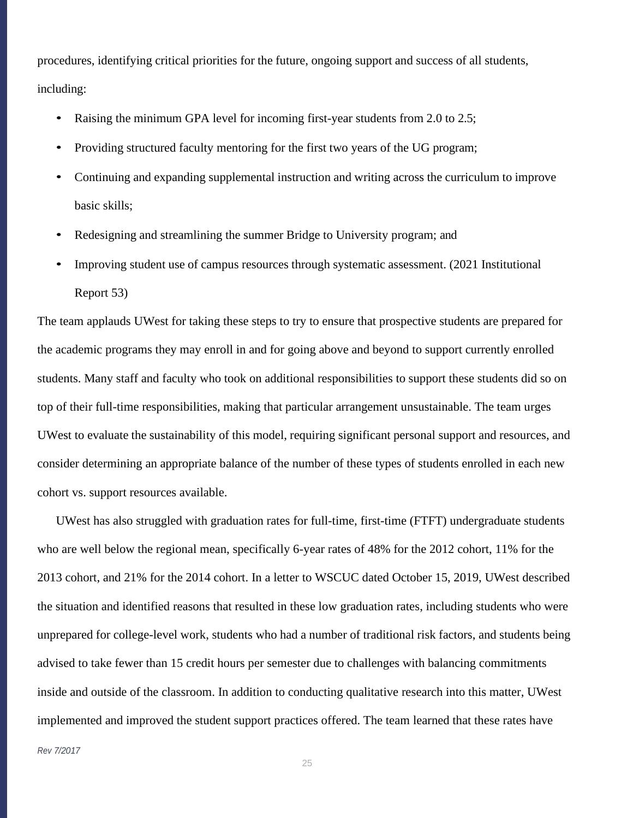procedures, identifying critical priorities for the future, ongoing support and success of all students, including:

- Raising the minimum GPA level for incoming first-year students from 2.0 to 2.5;
- Providing structured faculty mentoring for the first two years of the UG program;
- Continuing and expanding supplemental instruction and writing across the curriculum to improve basic skills;
- Redesigning and streamlining the summer Bridge to University program; and
- Improving student use of campus resources through systematic assessment. (2021 Institutional Report 53)

The team applauds UWest for taking these steps to try to ensure that prospective students are prepared for the academic programs they may enroll in and for going above and beyond to support currently enrolled students. Many staff and faculty who took on additional responsibilities to support these students did so on top of their full-time responsibilities, making that particular arrangement unsustainable. The team urges UWest to evaluate the sustainability of this model, requiring significant personal support and resources, and consider determining an appropriate balance of the number of these types of students enrolled in each new cohort vs. support resources available.

UWest has also struggled with graduation rates for full-time, first-time (FTFT) undergraduate students who are well below the regional mean, specifically 6-year rates of 48% for the 2012 cohort, 11% for the 2013 cohort, and 21% for the 2014 cohort. In a letter to WSCUC dated October 15, 2019, UWest described the situation and identified reasons that resulted in these low graduation rates, including students who were unprepared for college-level work, students who had a number of traditional risk factors, and students being advised to take fewer than 15 credit hours per semester due to challenges with balancing commitments inside and outside of the classroom. In addition to conducting qualitative research into this matter, UWest implemented and improved the student support practices offered. The team learned that these rates have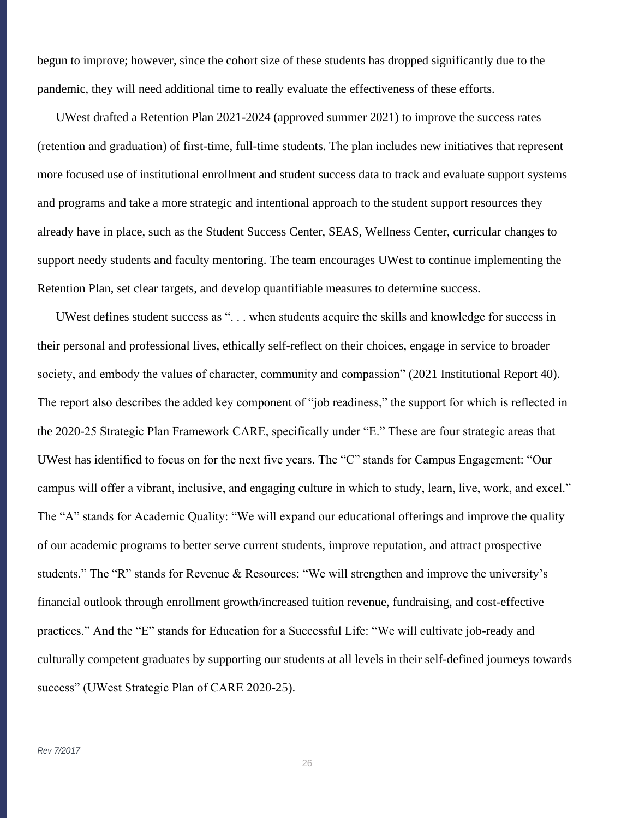begun to improve; however, since the cohort size of these students has dropped significantly due to the pandemic, they will need additional time to really evaluate the effectiveness of these efforts.

UWest drafted a Retention Plan 2021-2024 (approved summer 2021) to improve the success rates (retention and graduation) of first-time, full-time students. The plan includes new initiatives that represent more focused use of institutional enrollment and student success data to track and evaluate support systems and programs and take a more strategic and intentional approach to the student support resources they already have in place, such as the Student Success Center, SEAS, Wellness Center, curricular changes to support needy students and faculty mentoring. The team encourages UWest to continue implementing the Retention Plan, set clear targets, and develop quantifiable measures to determine success.

UWest defines student success as ". . . when students acquire the skills and knowledge for success in their personal and professional lives, ethically self-reflect on their choices, engage in service to broader society, and embody the values of character, community and compassion" (2021 Institutional Report 40). The report also describes the added key component of "job readiness," the support for which is reflected in the 2020-25 Strategic Plan Framework CARE, specifically under "E." These are four strategic areas that UWest has identified to focus on for the next five years. The "C" stands for Campus Engagement: "Our campus will offer a vibrant, inclusive, and engaging culture in which to study, learn, live, work, and excel." The "A" stands for Academic Quality: "We will expand our educational offerings and improve the quality of our academic programs to better serve current students, improve reputation, and attract prospective students." The "R" stands for Revenue & Resources: "We will strengthen and improve the university's financial outlook through enrollment growth/increased tuition revenue, fundraising, and cost-effective practices." And the "E" stands for Education for a Successful Life: "We will cultivate job-ready and culturally competent graduates by supporting our students at all levels in their self-defined journeys towards success" (UWest Strategic Plan of CARE 2020-25).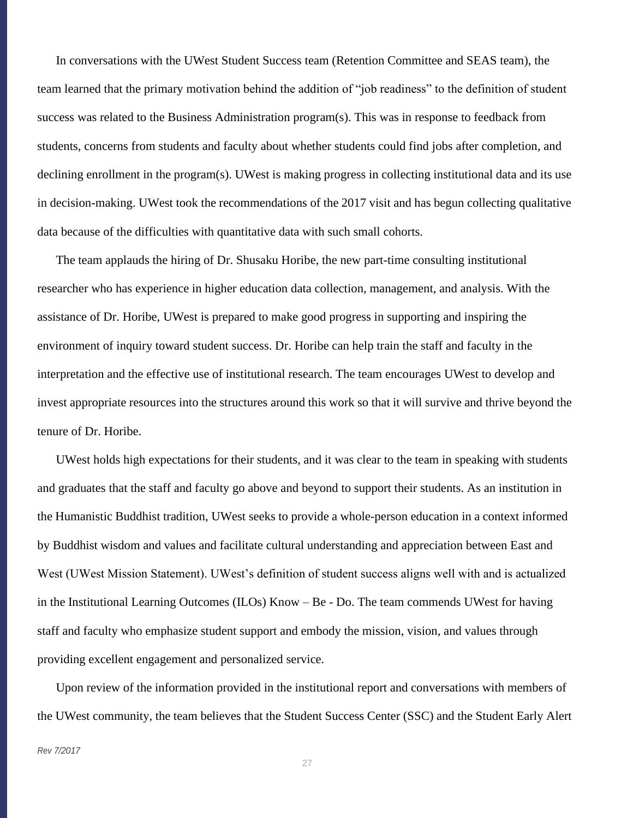In conversations with the UWest Student Success team (Retention Committee and SEAS team), the team learned that the primary motivation behind the addition of "job readiness" to the definition of student success was related to the Business Administration program(s). This was in response to feedback from students, concerns from students and faculty about whether students could find jobs after completion, and declining enrollment in the program(s). UWest is making progress in collecting institutional data and its use in decision-making. UWest took the recommendations of the 2017 visit and has begun collecting qualitative data because of the difficulties with quantitative data with such small cohorts.

The team applauds the hiring of Dr. Shusaku Horibe, the new part-time consulting institutional researcher who has experience in higher education data collection, management, and analysis. With the assistance of Dr. Horibe, UWest is prepared to make good progress in supporting and inspiring the environment of inquiry toward student success. Dr. Horibe can help train the staff and faculty in the interpretation and the effective use of institutional research. The team encourages UWest to develop and invest appropriate resources into the structures around this work so that it will survive and thrive beyond the tenure of Dr. Horibe.

UWest holds high expectations for their students, and it was clear to the team in speaking with students and graduates that the staff and faculty go above and beyond to support their students. As an institution in the Humanistic Buddhist tradition, UWest seeks to provide a whole-person education in a context informed by Buddhist wisdom and values and facilitate cultural understanding and appreciation between East and West (UWest Mission Statement). UWest's definition of student success aligns well with and is actualized in the Institutional Learning Outcomes (ILOs) Know – Be - Do. The team commends UWest for having staff and faculty who emphasize student support and embody the mission, vision, and values through providing excellent engagement and personalized service.

Upon review of the information provided in the institutional report and conversations with members of the UWest community, the team believes that the Student Success Center (SSC) and the Student Early Alert

#### *Rev 7/2017*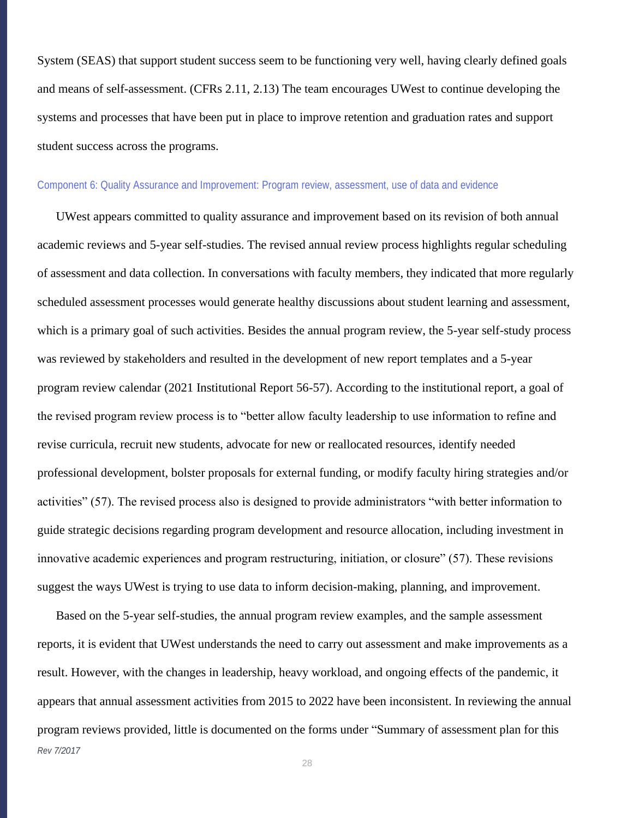System (SEAS) that support student success seem to be functioning very well, having clearly defined goals and means of self-assessment. (CFRs 2.11, 2.13) The team encourages UWest to continue developing the systems and processes that have been put in place to improve retention and graduation rates and support student success across the programs.

#### Component 6: Quality Assurance and Improvement: Program review, assessment, use of data and evidence

UWest appears committed to quality assurance and improvement based on its revision of both annual academic reviews and 5-year self-studies. The revised annual review process highlights regular scheduling of assessment and data collection. In conversations with faculty members, they indicated that more regularly scheduled assessment processes would generate healthy discussions about student learning and assessment, which is a primary goal of such activities. Besides the annual program review, the 5-year self-study process was reviewed by stakeholders and resulted in the development of new report templates and a 5-year program review calendar (2021 Institutional Report 56-57). According to the institutional report, a goal of the revised program review process is to "better allow faculty leadership to use information to refine and revise curricula, recruit new students, advocate for new or reallocated resources, identify needed professional development, bolster proposals for external funding, or modify faculty hiring strategies and/or activities" (57). The revised process also is designed to provide administrators "with better information to guide strategic decisions regarding program development and resource allocation, including investment in innovative academic experiences and program restructuring, initiation, or closure" (57). These revisions suggest the ways UWest is trying to use data to inform decision-making, planning, and improvement.

*Rev 7/2017* Based on the 5-year self-studies, the annual program review examples, and the sample assessment reports, it is evident that UWest understands the need to carry out assessment and make improvements as a result. However, with the changes in leadership, heavy workload, and ongoing effects of the pandemic, it appears that annual assessment activities from 2015 to 2022 have been inconsistent. In reviewing the annual program reviews provided, little is documented on the forms under "Summary of assessment plan for this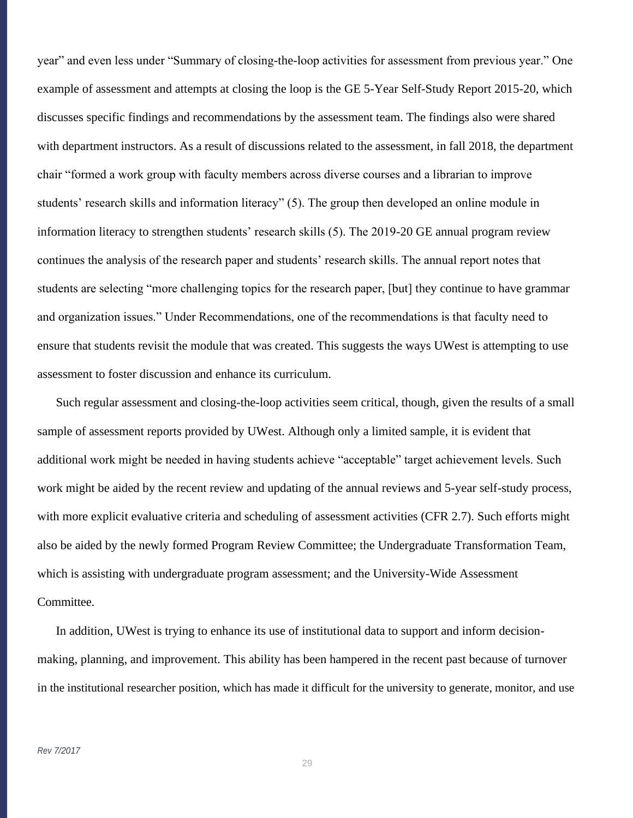year" and even less under "Summary of closing-the-loop activities for assessment from previous year." One example of assessment and attempts at closing the loop is the GE 5-Year Self-Study Report 2015-20, which discusses specific findings and recommendations by the assessment team. The findings also were shared with department instructors. As a result of discussions related to the assessment, in fall 2018, the department chair "formed a work group with faculty members across diverse courses and a librarian to improve students' research skills and information literacy" (5). The group then developed an online module in information literacy to strengthen students' research skills (5). The 2019-20 GE annual program review continues the analysis of the research paper and students' research skills. The annual report notes that students are selecting "more challenging topics for the research paper, [but] they continue to have grammar and organization issues." Under Recommendations, one of the recommendations is that faculty need to ensure that students revisit the module that was created. This suggests the ways UWest is attempting to use assessment to foster discussion and enhance its curriculum.

Such regular assessment and closing-the-loop activities seem critical, though, given the results of a small sample of assessment reports provided by UWest. Although only a limited sample, it is evident that additional work might be needed in having students achieve "acceptable" target achievement levels. Such work might be aided by the recent review and updating of the annual reviews and 5-year self-study process, with more explicit evaluative criteria and scheduling of assessment activities (CFR 2.7). Such efforts might also be aided by the newly formed Program Review Committee; the Undergraduate Transformation Team, which is assisting with undergraduate program assessment; and the University-Wide Assessment Committee.

In addition, UWest is trying to enhance its use of institutional data to support and inform decisionmaking, planning, and improvement. This ability has been hampered in the recent past because of turnover in the institutional researcher position, which has made it difficult for the university to generate, monitor, and use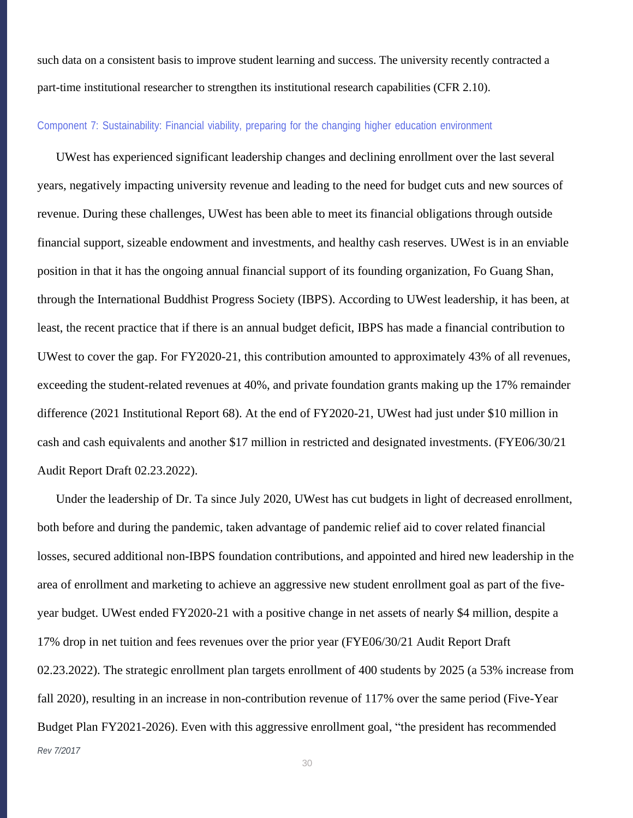such data on a consistent basis to improve student learning and success. The university recently contracted a part-time institutional researcher to strengthen its institutional research capabilities (CFR 2.10).

### Component 7: Sustainability: Financial viability, preparing for the changing higher education environment

UWest has experienced significant leadership changes and declining enrollment over the last several years, negatively impacting university revenue and leading to the need for budget cuts and new sources of revenue. During these challenges, UWest has been able to meet its financial obligations through outside financial support, sizeable endowment and investments, and healthy cash reserves. UWest is in an enviable position in that it has the ongoing annual financial support of its founding organization, Fo Guang Shan, through the International Buddhist Progress Society (IBPS). According to UWest leadership, it has been, at least, the recent practice that if there is an annual budget deficit, IBPS has made a financial contribution to UWest to cover the gap. For FY2020-21, this contribution amounted to approximately 43% of all revenues, exceeding the student-related revenues at 40%, and private foundation grants making up the 17% remainder difference (2021 Institutional Report 68). At the end of FY2020-21, UWest had just under \$10 million in cash and cash equivalents and another \$17 million in restricted and designated investments. (FYE06/30/21 Audit Report Draft 02.23.2022).

*Rev 7/2017* Under the leadership of Dr. Ta since July 2020, UWest has cut budgets in light of decreased enrollment, both before and during the pandemic, taken advantage of pandemic relief aid to cover related financial losses, secured additional non-IBPS foundation contributions, and appointed and hired new leadership in the area of enrollment and marketing to achieve an aggressive new student enrollment goal as part of the fiveyear budget. UWest ended FY2020-21 with a positive change in net assets of nearly \$4 million, despite a 17% drop in net tuition and fees revenues over the prior year (FYE06/30/21 Audit Report Draft 02.23.2022). The strategic enrollment plan targets enrollment of 400 students by 2025 (a 53% increase from fall 2020), resulting in an increase in non-contribution revenue of 117% over the same period (Five-Year Budget Plan FY2021-2026). Even with this aggressive enrollment goal, "the president has recommended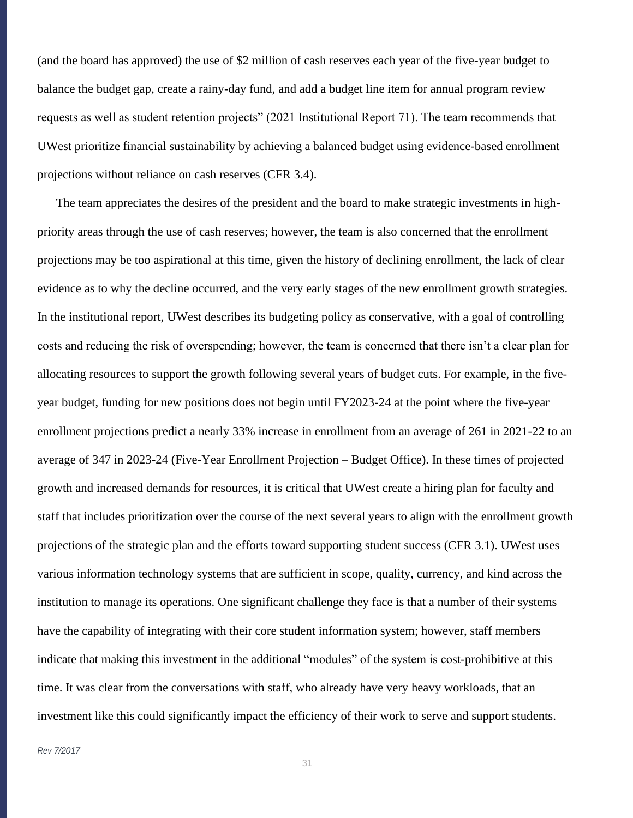(and the board has approved) the use of \$2 million of cash reserves each year of the five-year budget to balance the budget gap, create a rainy-day fund, and add a budget line item for annual program review requests as well as student retention projects" (2021 Institutional Report 71). The team recommends that UWest prioritize financial sustainability by achieving a balanced budget using evidence-based enrollment projections without reliance on cash reserves (CFR 3.4).

The team appreciates the desires of the president and the board to make strategic investments in highpriority areas through the use of cash reserves; however, the team is also concerned that the enrollment projections may be too aspirational at this time, given the history of declining enrollment, the lack of clear evidence as to why the decline occurred, and the very early stages of the new enrollment growth strategies. In the institutional report, UWest describes its budgeting policy as conservative, with a goal of controlling costs and reducing the risk of overspending; however, the team is concerned that there isn't a clear plan for allocating resources to support the growth following several years of budget cuts. For example, in the fiveyear budget, funding for new positions does not begin until FY2023-24 at the point where the five-year enrollment projections predict a nearly 33% increase in enrollment from an average of 261 in 2021-22 to an average of 347 in 2023-24 (Five-Year Enrollment Projection – Budget Office). In these times of projected growth and increased demands for resources, it is critical that UWest create a hiring plan for faculty and staff that includes prioritization over the course of the next several years to align with the enrollment growth projections of the strategic plan and the efforts toward supporting student success (CFR 3.1). UWest uses various information technology systems that are sufficient in scope, quality, currency, and kind across the institution to manage its operations. One significant challenge they face is that a number of their systems have the capability of integrating with their core student information system; however, staff members indicate that making this investment in the additional "modules" of the system is cost-prohibitive at this time. It was clear from the conversations with staff, who already have very heavy workloads, that an investment like this could significantly impact the efficiency of their work to serve and support students.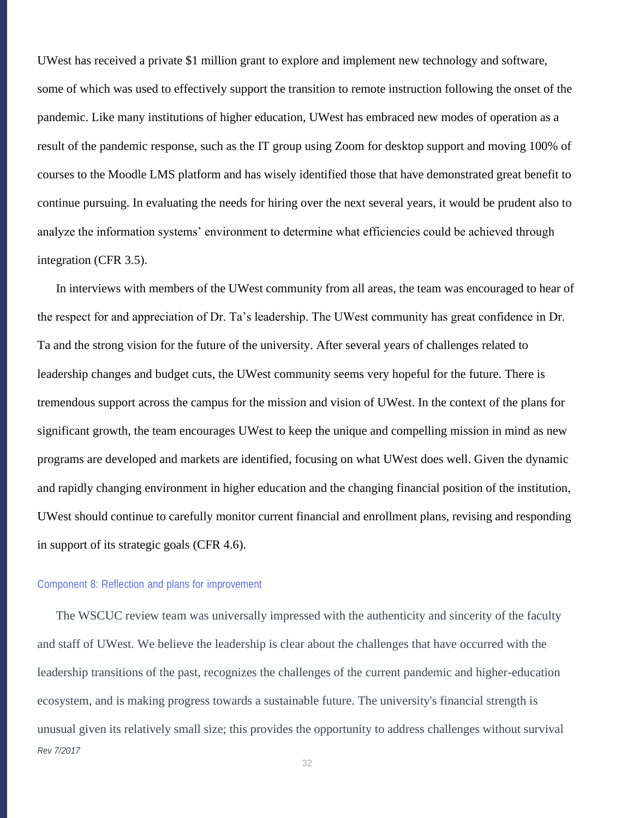UWest has received a private \$1 million grant to explore and implement new technology and software, some of which was used to effectively support the transition to remote instruction following the onset of the pandemic. Like many institutions of higher education, UWest has embraced new modes of operation as a result of the pandemic response, such as the IT group using Zoom for desktop support and moving 100% of courses to the Moodle LMS platform and has wisely identified those that have demonstrated great benefit to continue pursuing. In evaluating the needs for hiring over the next several years, it would be prudent also to analyze the information systems' environment to determine what efficiencies could be achieved through integration (CFR 3.5).

In interviews with members of the UWest community from all areas, the team was encouraged to hear of the respect for and appreciation of Dr. Ta's leadership. The UWest community has great confidence in Dr. Ta and the strong vision for the future of the university. After several years of challenges related to leadership changes and budget cuts, the UWest community seems very hopeful for the future. There is tremendous support across the campus for the mission and vision of UWest. In the context of the plans for significant growth, the team encourages UWest to keep the unique and compelling mission in mind as new programs are developed and markets are identified, focusing on what UWest does well. Given the dynamic and rapidly changing environment in higher education and the changing financial position of the institution, UWest should continue to carefully monitor current financial and enrollment plans, revising and responding in support of its strategic goals (CFR 4.6).

#### Component 8: Reflection and plans for improvement

*Rev 7/2017* The WSCUC review team was universally impressed with the authenticity and sincerity of the faculty and staff of UWest. We believe the leadership is clear about the challenges that have occurred with the leadership transitions of the past, recognizes the challenges of the current pandemic and higher-education ecosystem, and is making progress towards a sustainable future. The university's financial strength is unusual given its relatively small size; this provides the opportunity to address challenges without survival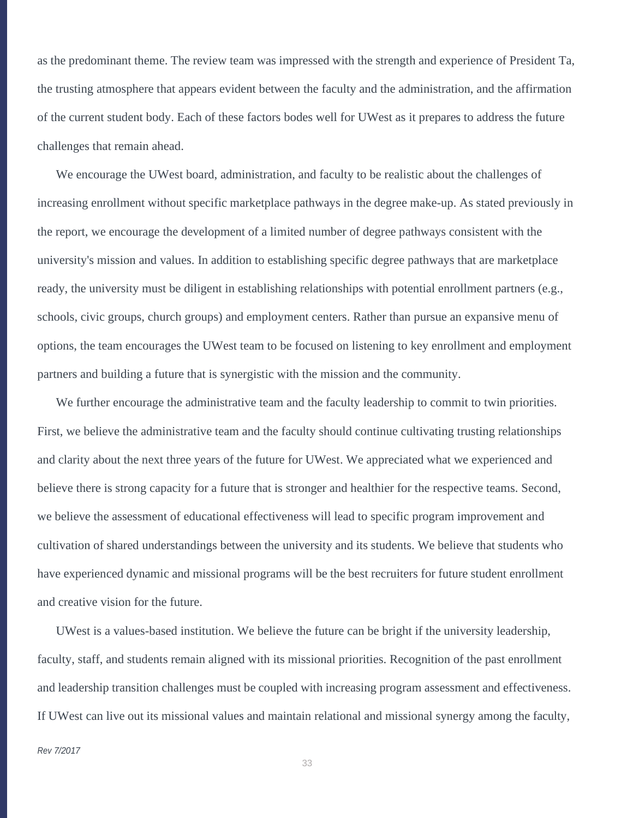as the predominant theme. The review team was impressed with the strength and experience of President Ta, the trusting atmosphere that appears evident between the faculty and the administration, and the affirmation of the current student body. Each of these factors bodes well for UWest as it prepares to address the future challenges that remain ahead.

We encourage the UWest board, administration, and faculty to be realistic about the challenges of increasing enrollment without specific marketplace pathways in the degree make-up. As stated previously in the report, we encourage the development of a limited number of degree pathways consistent with the university's mission and values. In addition to establishing specific degree pathways that are marketplace ready, the university must be diligent in establishing relationships with potential enrollment partners (e.g., schools, civic groups, church groups) and employment centers. Rather than pursue an expansive menu of options, the team encourages the UWest team to be focused on listening to key enrollment and employment partners and building a future that is synergistic with the mission and the community.

We further encourage the administrative team and the faculty leadership to commit to twin priorities. First, we believe the administrative team and the faculty should continue cultivating trusting relationships and clarity about the next three years of the future for UWest. We appreciated what we experienced and believe there is strong capacity for a future that is stronger and healthier for the respective teams. Second, we believe the assessment of educational effectiveness will lead to specific program improvement and cultivation of shared understandings between the university and its students. We believe that students who have experienced dynamic and missional programs will be the best recruiters for future student enrollment and creative vision for the future.

UWest is a values-based institution. We believe the future can be bright if the university leadership, faculty, staff, and students remain aligned with its missional priorities. Recognition of the past enrollment and leadership transition challenges must be coupled with increasing program assessment and effectiveness. If UWest can live out its missional values and maintain relational and missional synergy among the faculty,

#### *Rev 7/2017*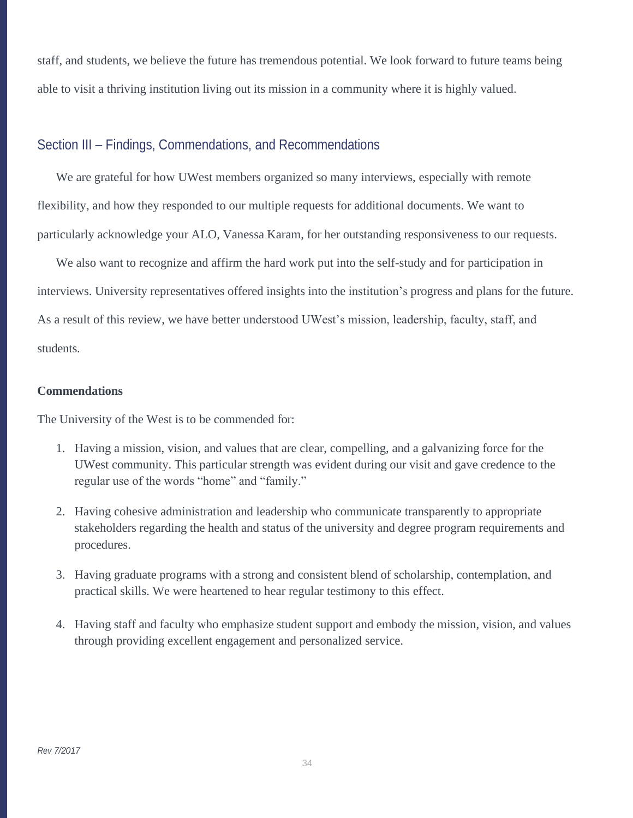staff, and students, we believe the future has tremendous potential. We look forward to future teams being able to visit a thriving institution living out its mission in a community where it is highly valued.

# Section III – Findings, Commendations, and Recommendations

We are grateful for how UWest members organized so many interviews, especially with remote flexibility, and how they responded to our multiple requests for additional documents. We want to particularly acknowledge your ALO, Vanessa Karam, for her outstanding responsiveness to our requests.

We also want to recognize and affirm the hard work put into the self-study and for participation in interviews. University representatives offered insights into the institution's progress and plans for the future. As a result of this review, we have better understood UWest's mission, leadership, faculty, staff, and students.

### **Commendations**

The University of the West is to be commended for:

- 1. Having a mission, vision, and values that are clear, compelling, and a galvanizing force for the UWest community. This particular strength was evident during our visit and gave credence to the regular use of the words "home" and "family."
- 2. Having cohesive administration and leadership who communicate transparently to appropriate stakeholders regarding the health and status of the university and degree program requirements and procedures.
- 3. Having graduate programs with a strong and consistent blend of scholarship, contemplation, and practical skills. We were heartened to hear regular testimony to this effect.
- 4. Having staff and faculty who emphasize student support and embody the mission, vision, and values through providing excellent engagement and personalized service.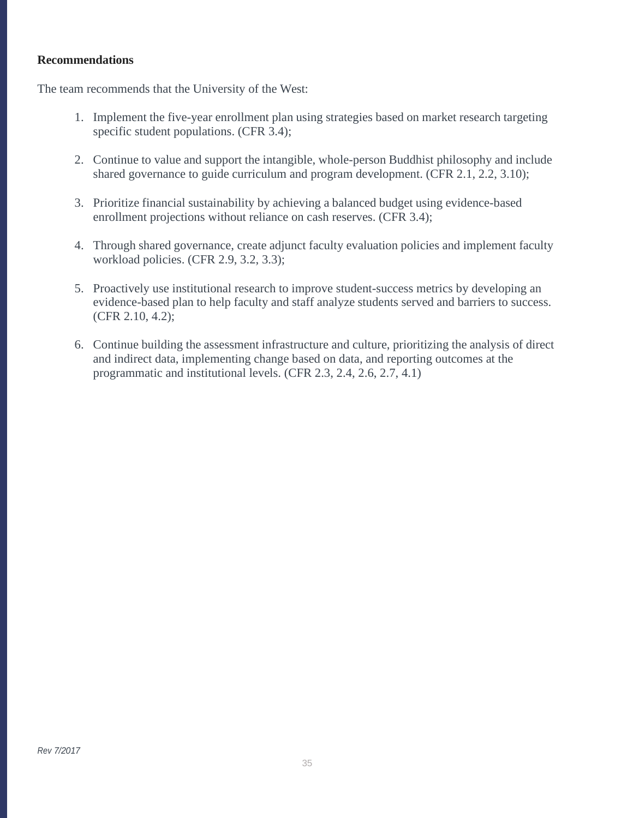# **Recommendations**

The team recommends that the University of the West:

- 1. Implement the five-year enrollment plan using strategies based on market research targeting specific student populations. (CFR 3.4);
- 2. Continue to value and support the intangible, whole-person Buddhist philosophy and include shared governance to guide curriculum and program development. (CFR 2.1, 2.2, 3.10);
- 3. Prioritize financial sustainability by achieving a balanced budget using evidence-based enrollment projections without reliance on cash reserves. (CFR 3.4);
- 4. Through shared governance, create adjunct faculty evaluation policies and implement faculty workload policies. (CFR 2.9, 3.2, 3.3);
- 5. Proactively use institutional research to improve student-success metrics by developing an evidence-based plan to help faculty and staff analyze students served and barriers to success. (CFR 2.10, 4.2);
- 6. Continue building the assessment infrastructure and culture, prioritizing the analysis of direct and indirect data, implementing change based on data, and reporting outcomes at the programmatic and institutional levels. (CFR 2.3, 2.4, 2.6, 2.7, 4.1)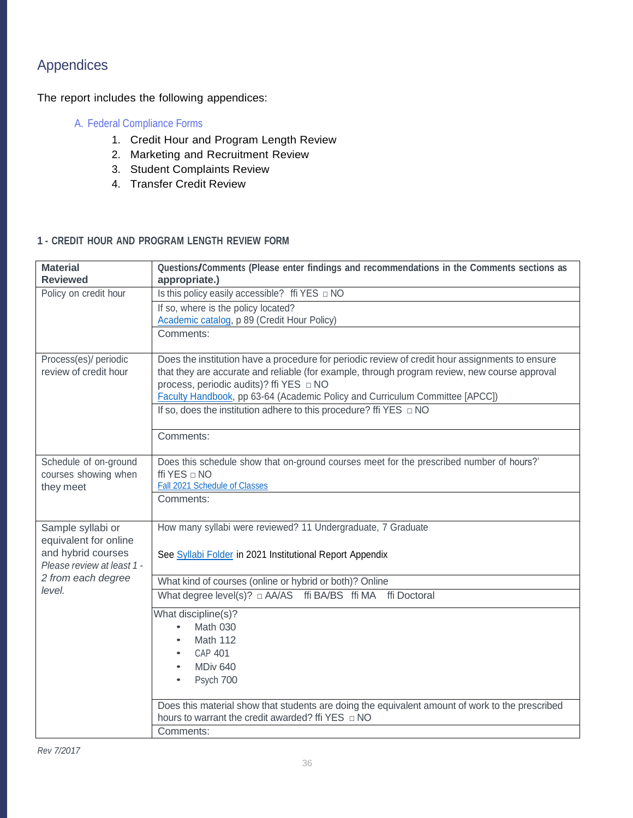# Appendices

The report includes the following appendices:

# A. Federal Compliance Forms

- 1. Credit Hour and Program Length Review
- 2. Marketing and Recruitment Review
- 3. Student Complaints Review
- 4. Transfer Credit Review

### **1 - CREDIT HOUR AND PROGRAM LENGTH REVIEW FORM**

| <b>Material</b>                            | Questions/Comments (Please enter findings and recommendations in the Comments sections as       |  |  |
|--------------------------------------------|-------------------------------------------------------------------------------------------------|--|--|
| <b>Reviewed</b>                            | appropriate.)                                                                                   |  |  |
| Policy on credit hour                      |                                                                                                 |  |  |
|                                            | If so, where is the policy located?                                                             |  |  |
|                                            | Academic catalog, p 89 (Credit Hour Policy)                                                     |  |  |
|                                            | Comments:                                                                                       |  |  |
| Process(es)/ periodic                      | Does the institution have a procedure for periodic review of credit hour assignments to ensure  |  |  |
| review of credit hour                      | that they are accurate and reliable (for example, through program review, new course approval   |  |  |
|                                            | process, periodic audits)? ffi YES □ NO                                                         |  |  |
|                                            | Faculty Handbook, pp 63-64 (Academic Policy and Curriculum Committee [APCC])                    |  |  |
|                                            | If so, does the institution adhere to this procedure? ffi YES $\Box$ NO                         |  |  |
|                                            | Comments:                                                                                       |  |  |
| Schedule of on-ground                      | Does this schedule show that on-ground courses meet for the prescribed number of hours?'        |  |  |
| courses showing when                       | ffi YES $\Box$ NO                                                                               |  |  |
| they meet                                  | Fall 2021 Schedule of Classes                                                                   |  |  |
|                                            | Comments:                                                                                       |  |  |
|                                            | How many syllabi were reviewed? 11 Undergraduate, 7 Graduate                                    |  |  |
| Sample syllabi or<br>equivalent for online |                                                                                                 |  |  |
| and hybrid courses                         | See Syllabi Folder in 2021 Institutional Report Appendix                                        |  |  |
| Please review at least 1 -                 |                                                                                                 |  |  |
| 2 from each degree                         | What kind of courses (online or hybrid or both)? Online                                         |  |  |
| level.                                     | What degree level(s)? $\Box$ AA/AS ffi BA/BS ffi MA ffi Doctoral                                |  |  |
|                                            | What discipline(s)?                                                                             |  |  |
|                                            | Math 030                                                                                        |  |  |
|                                            | Math 112<br>٠                                                                                   |  |  |
|                                            | <b>CAP 401</b><br>$\bullet$                                                                     |  |  |
|                                            | MDiv <sub>640</sub><br>$\bullet$                                                                |  |  |
|                                            | Psych 700                                                                                       |  |  |
|                                            |                                                                                                 |  |  |
|                                            | Does this material show that students are doing the equivalent amount of work to the prescribed |  |  |
|                                            | Comments:                                                                                       |  |  |
|                                            |                                                                                                 |  |  |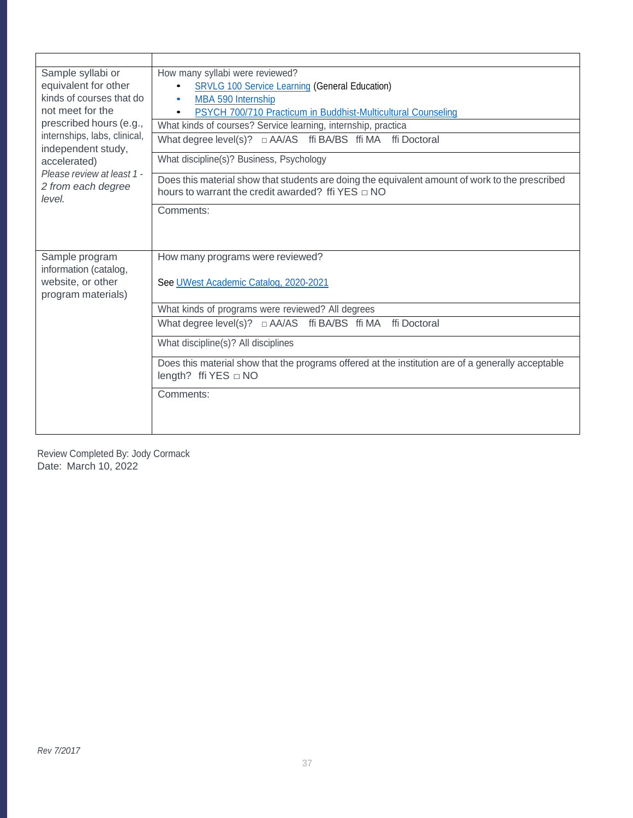| Sample syllabi or                                          | How many syllabi were reviewed?                                                                                                                              |  |  |  |  |  |
|------------------------------------------------------------|--------------------------------------------------------------------------------------------------------------------------------------------------------------|--|--|--|--|--|
| equivalent for other                                       | <b>SRVLG 100 Service Learning (General Education)</b><br>$\bullet$                                                                                           |  |  |  |  |  |
| kinds of courses that do                                   | MBA 590 Internship<br>$\bullet$                                                                                                                              |  |  |  |  |  |
| not meet for the                                           | PSYCH 700/710 Practicum in Buddhist-Multicultural Counseling                                                                                                 |  |  |  |  |  |
| prescribed hours (e.g.,                                    | What kinds of courses? Service learning, internship, practica                                                                                                |  |  |  |  |  |
| internships, labs, clinical,<br>independent study,         | What degree level(s)? $\Box$ AA/AS ffi BA/BS ffi MA ffi Doctoral                                                                                             |  |  |  |  |  |
| accelerated)                                               | What discipline(s)? Business, Psychology                                                                                                                     |  |  |  |  |  |
| Please review at least 1 -<br>2 from each degree<br>level. | Does this material show that students are doing the equivalent amount of work to the prescribed<br>hours to warrant the credit awarded? ffi $YES \square NO$ |  |  |  |  |  |
|                                                            | Comments:                                                                                                                                                    |  |  |  |  |  |
|                                                            |                                                                                                                                                              |  |  |  |  |  |
|                                                            |                                                                                                                                                              |  |  |  |  |  |
| Sample program                                             | How many programs were reviewed?                                                                                                                             |  |  |  |  |  |
| information (catalog,                                      |                                                                                                                                                              |  |  |  |  |  |
| website, or other                                          | See UWest Academic Catalog, 2020-2021                                                                                                                        |  |  |  |  |  |
| program materials)                                         |                                                                                                                                                              |  |  |  |  |  |
|                                                            | What kinds of programs were reviewed? All degrees                                                                                                            |  |  |  |  |  |
|                                                            | What degree level(s)? $\Box$ AA/AS ffi BA/BS ffi MA ffi Doctoral                                                                                             |  |  |  |  |  |
|                                                            | What discipline(s)? All disciplines                                                                                                                          |  |  |  |  |  |
|                                                            | Does this material show that the programs offered at the institution are of a generally acceptable<br>length? ffi $YES \square NO$                           |  |  |  |  |  |
|                                                            | Comments:                                                                                                                                                    |  |  |  |  |  |
|                                                            |                                                                                                                                                              |  |  |  |  |  |
|                                                            |                                                                                                                                                              |  |  |  |  |  |

Review Completed By: Jody Cormack Date: March 10, 2022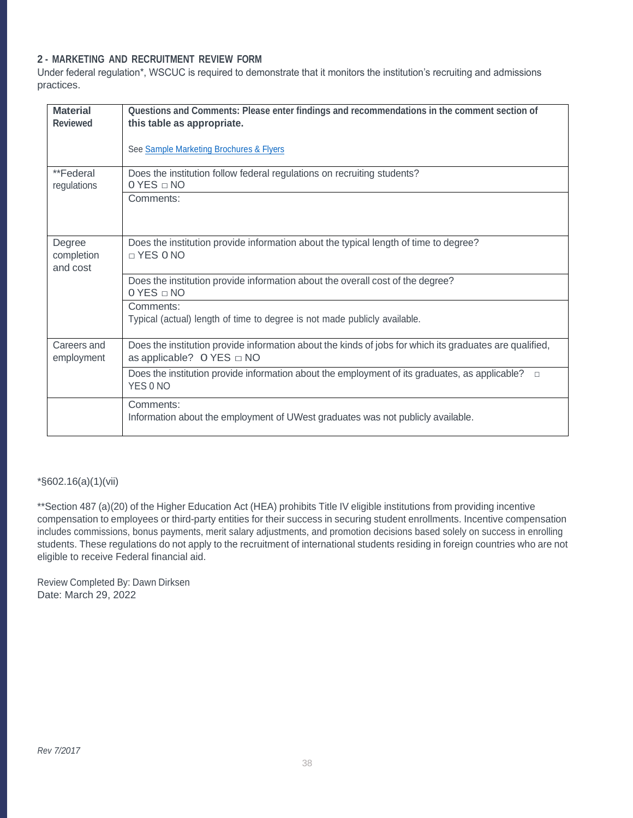## **2 - MARKETING AND RECRUITMENT REVIEW FORM**

Under federal regulation\*, WSCUC is required to demonstrate that it monitors the institution's recruiting and admissions practices.

| <b>Material</b><br><b>Reviewed</b> | Questions and Comments: Please enter findings and recommendations in the comment section of<br>this table as appropriate.<br>See Sample Marketing Brochures & Flyers                                                                                                                              |
|------------------------------------|---------------------------------------------------------------------------------------------------------------------------------------------------------------------------------------------------------------------------------------------------------------------------------------------------|
| **Federal<br>regulations           | Does the institution follow federal regulations on recruiting students?<br>$0$ YES $\sqcap$ NO<br>Comments:                                                                                                                                                                                       |
| Degree<br>completion<br>and cost   | Does the institution provide information about the typical length of time to degree?<br>$\neg$ YES 0 NO<br>Does the institution provide information about the overall cost of the degree?<br>0 YES □ NO<br>Comments:<br>Typical (actual) length of time to degree is not made publicly available. |
| Careers and<br>employment          | Does the institution provide information about the kinds of jobs for which its graduates are qualified,<br>as applicable? O YES $\Box$ NO<br>Does the institution provide information about the employment of its graduates, as applicable?<br>$\Box$<br>YES 0 NO                                 |
|                                    | Comments:<br>Information about the employment of UWest graduates was not publicly available.                                                                                                                                                                                                      |

\*§602.16(a)(1)(vii)

\*\*Section 487 (a)(20) of the Higher Education Act (HEA) prohibits Title IV eligible institutions from providing incentive compensation to employees or third-party entities for their success in securing student enrollments. Incentive compensation includes commissions, bonus payments, merit salary adjustments, and promotion decisions based solely on success in enrolling students. These regulations do not apply to the recruitment of international students residing in foreign countries who are not eligible to receive Federal financial aid.

Review Completed By: Dawn Dirksen Date: March 29, 2022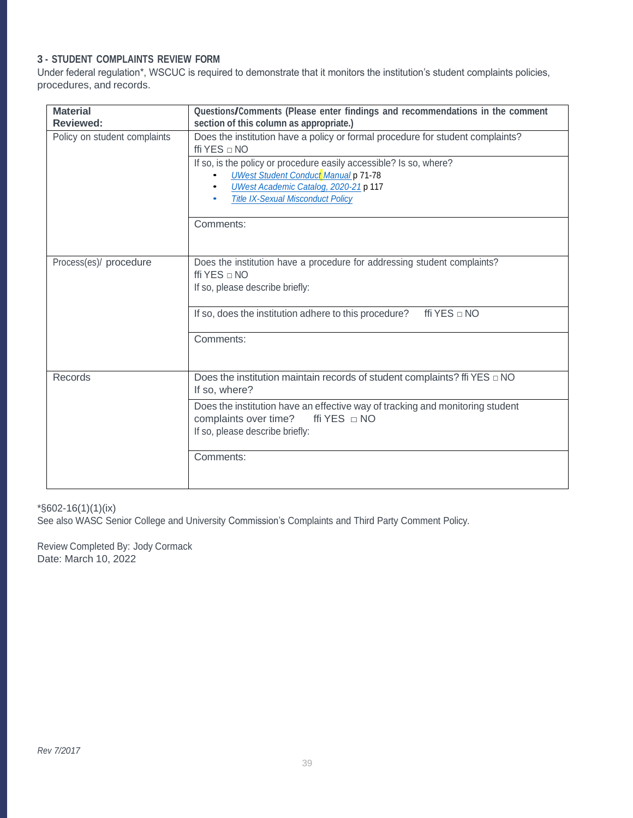# **3 - STUDENT COMPLAINTS REVIEW FORM**

Under federal regulation\*, WSCUC is required to demonstrate that it monitors the institution's student complaints policies, procedures, and records.

| <b>Material</b><br><b>Reviewed:</b> | Questions/Comments (Please enter findings and recommendations in the comment<br>section of this column as appropriate.)                                                                                                                                                                                                    |
|-------------------------------------|----------------------------------------------------------------------------------------------------------------------------------------------------------------------------------------------------------------------------------------------------------------------------------------------------------------------------|
| Policy on student complaints        | Does the institution have a policy or formal procedure for student complaints?<br>ffi YES $\Box$ NO<br>If so, is the policy or procedure easily accessible? Is so, where?<br><b>UWest Student Conduct Manual p 71-78</b><br>UWest Academic Catalog, 2020-21 p 117<br><b>Title IX-Sexual Misconduct Policy</b><br>Comments: |
| Process(es)/ procedure              | Does the institution have a procedure for addressing student complaints?<br>ffi YES $\sqcap$ NO<br>If so, please describe briefly:<br>ffi YES $\Box$ NO<br>If so, does the institution adhere to this procedure?<br>Comments:                                                                                              |
| Records                             | Does the institution maintain records of student complaints? ffi YES $\Box$ NO<br>If so, where?<br>Does the institution have an effective way of tracking and monitoring student<br>complaints over time?<br>ffi YES $\Box$ NO<br>If so, please describe briefly:<br>Comments:                                             |
|                                     |                                                                                                                                                                                                                                                                                                                            |

### \*§602-16(1)(1)(ix)

See also WASC Senior College and University Commission's Complaints and Third Party Comment Policy.

Review Completed By: Jody Cormack Date: March 10, 2022